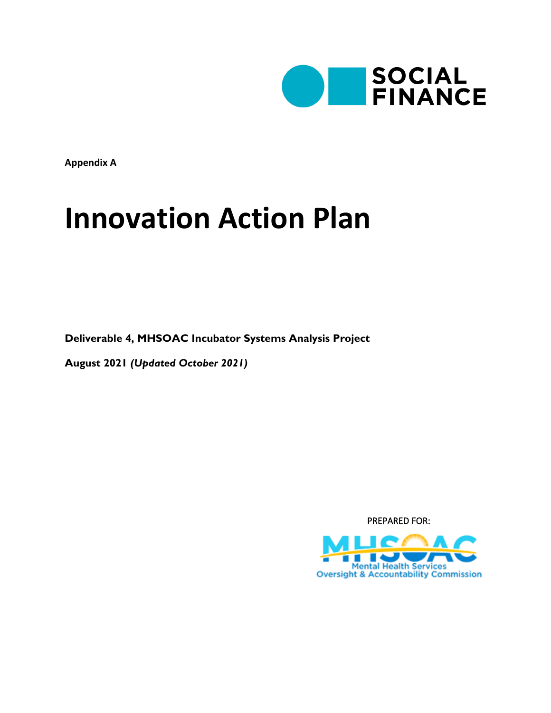

**Appendix A**

# **Innovation Action Plan**

**Deliverable 4, MHSOAC Incubator Systems Analysis Project**

**August 2021** *(Updated October 2021)*

PREPARED FOR:

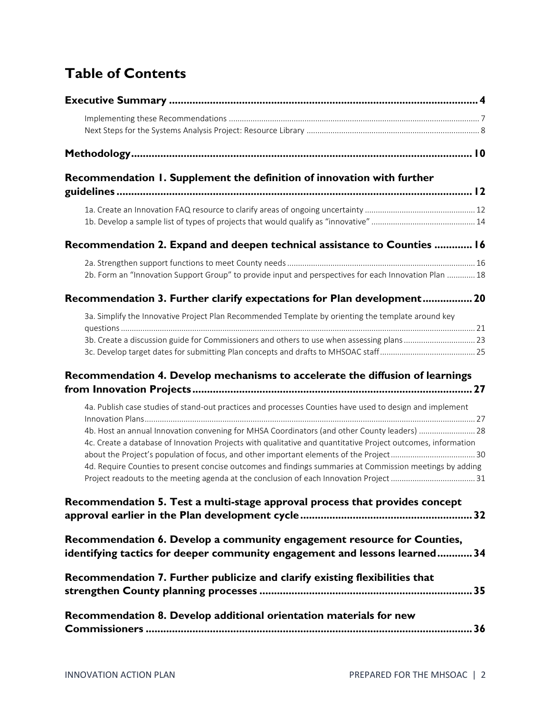# **Table of Contents**

| Recommendation 1. Supplement the definition of innovation with further                                                                                                                                                                                                                                                   |
|--------------------------------------------------------------------------------------------------------------------------------------------------------------------------------------------------------------------------------------------------------------------------------------------------------------------------|
|                                                                                                                                                                                                                                                                                                                          |
|                                                                                                                                                                                                                                                                                                                          |
| Recommendation 2. Expand and deepen technical assistance to Counties  16                                                                                                                                                                                                                                                 |
|                                                                                                                                                                                                                                                                                                                          |
| 2b. Form an "Innovation Support Group" to provide input and perspectives for each Innovation Plan  18                                                                                                                                                                                                                    |
| Recommendation 3. Further clarify expectations for Plan development 20                                                                                                                                                                                                                                                   |
| 3a. Simplify the Innovative Project Plan Recommended Template by orienting the template around key                                                                                                                                                                                                                       |
| 3b. Create a discussion guide for Commissioners and others to use when assessing plans 23                                                                                                                                                                                                                                |
| Recommendation 4. Develop mechanisms to accelerate the diffusion of learnings                                                                                                                                                                                                                                            |
| 4a. Publish case studies of stand-out practices and processes Counties have used to design and implement                                                                                                                                                                                                                 |
| 4b. Host an annual Innovation convening for MHSA Coordinators (and other County leaders)  28<br>4c. Create a database of Innovation Projects with qualitative and quantitative Project outcomes, information<br>4d. Require Counties to present concise outcomes and findings summaries at Commission meetings by adding |
| Recommendation 5. Test a multi-stage approval process that provides concept                                                                                                                                                                                                                                              |
| Recommendation 6. Develop a community engagement resource for Counties,<br>identifying tactics for deeper community engagement and lessons learned 34                                                                                                                                                                    |
| Recommendation 7. Further publicize and clarify existing flexibilities that                                                                                                                                                                                                                                              |
| Recommendation 8. Develop additional orientation materials for new                                                                                                                                                                                                                                                       |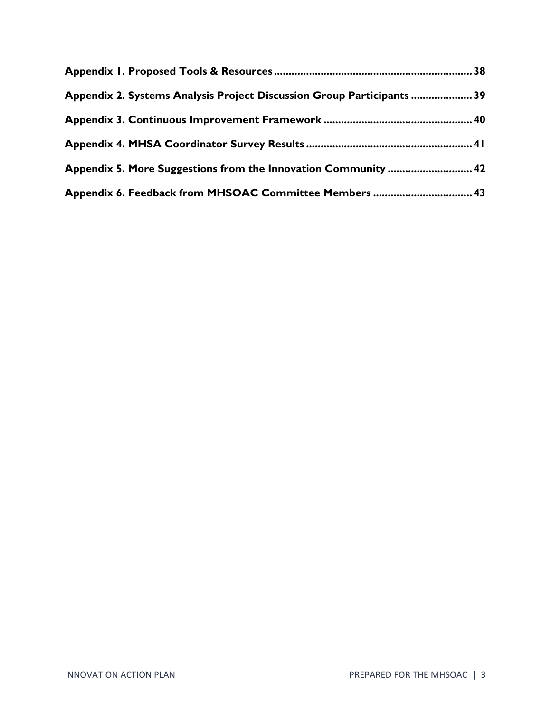| Appendix 2. Systems Analysis Project Discussion Group Participants  39 |  |
|------------------------------------------------------------------------|--|
|                                                                        |  |
|                                                                        |  |
|                                                                        |  |
| Appendix 6. Feedback from MHSOAC Committee Members  43                 |  |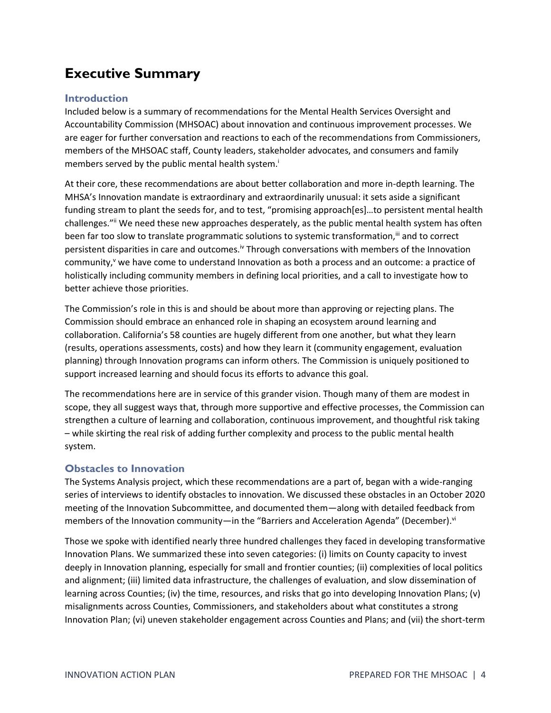# <span id="page-3-0"></span>**Executive Summary**

### **Introduction**

Included below is a summary of recommendations for the Mental Health Services Oversight and Accountability Commission (MHSOAC) about innovation and continuous improvement processes. We are eager for further conversation and reactions to each of the recommendations from Commissioners, members of the MHSOAC staff, County leaders, stakeholder advocates, and consumers and family members served by the public mental health system.<sup>i</sup>

At their core, these recommendations are about better collaboration and more in-depth learning. The MHSA's Innovation mandate is extraordinary and extraordinarily unusual: it sets aside a significant funding stream to plant the seeds for, and to test, "promising approach[es]…to persistent mental health challenges."" We need these new approaches desperately, as the public mental health system has often been far too slow to translate programmatic solutions to systemic transformation, iii and to correct persistent disparities in care and outcomes.<sup>iv</sup> Through conversations with members of the Innovation community,<sup>v</sup> we have come to understand Innovation as both a process and an outcome: a practice of holistically including community members in defining local priorities, and a call to investigate how to better achieve those priorities.

The Commission's role in this is and should be about more than approving or rejecting plans. The Commission should embrace an enhanced role in shaping an ecosystem around learning and collaboration. California's 58 counties are hugely different from one another, but what they learn (results, operations assessments, costs) and how they learn it (community engagement, evaluation planning) through Innovation programs can inform others. The Commission is uniquely positioned to support increased learning and should focus its efforts to advance this goal.

The recommendations here are in service of this grander vision. Though many of them are modest in scope, they all suggest ways that, through more supportive and effective processes, the Commission can strengthen a culture of learning and collaboration, continuous improvement, and thoughtful risk taking – while skirting the real risk of adding further complexity and process to the public mental health system.

### **Obstacles to Innovation**

The Systems Analysis project, which these recommendations are a part of, began with a wide-ranging series of interviews to identify obstacles to innovation. We discussed these obstacles in an October 2020 meeting of the Innovation Subcommittee, and documented them—along with detailed feedback from members of the Innovation community—in the "Barriers and Acceleration Agenda" (December).<sup>vi</sup>

Those we spoke with identified nearly three hundred challenges they faced in developing transformative Innovation Plans. We summarized these into seven categories: (i) limits on County capacity to invest deeply in Innovation planning, especially for small and frontier counties; (ii) complexities of local politics and alignment; (iii) limited data infrastructure, the challenges of evaluation, and slow dissemination of learning across Counties; (iv) the time, resources, and risks that go into developing Innovation Plans; (v) misalignments across Counties, Commissioners, and stakeholders about what constitutes a strong Innovation Plan; (vi) uneven stakeholder engagement across Counties and Plans; and (vii) the short-term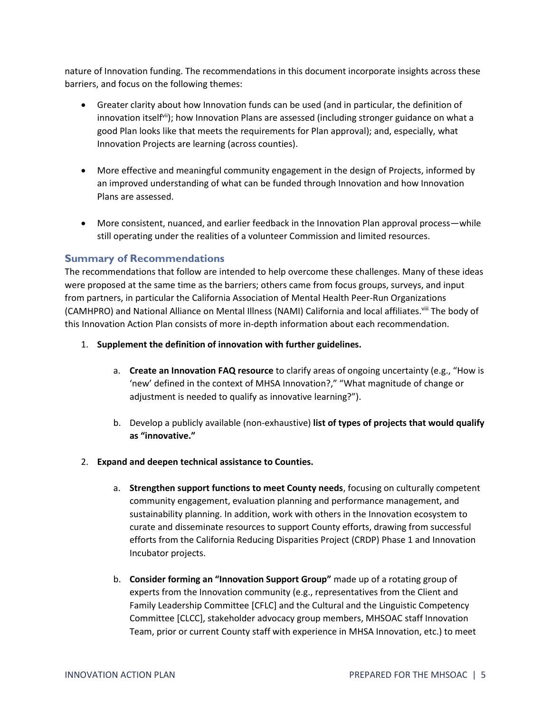nature of Innovation funding. The recommendations in this document incorporate insights across these barriers, and focus on the following themes:

- Greater clarity about how Innovation funds can be used (and in particular, the definition of innovation itself<sup>vii</sup>); how Innovation Plans are assessed (including stronger guidance on what a good Plan looks like that meets the requirements for Plan approval); and, especially, what Innovation Projects are learning (across counties).
- More effective and meaningful community engagement in the design of Projects, informed by an improved understanding of what can be funded through Innovation and how Innovation Plans are assessed.
- More consistent, nuanced, and earlier feedback in the Innovation Plan approval process—while still operating under the realities of a volunteer Commission and limited resources.

#### **Summary of Recommendations**

The recommendations that follow are intended to help overcome these challenges. Many of these ideas were proposed at the same time as the barriers; others came from focus groups, surveys, and input from partners, in particular the California Association of Mental Health Peer-Run Organizations (CAMHPRO) and National Alliance on Mental Illness (NAMI) California and local affiliates.<sup>viii</sup> The body of this Innovation Action Plan consists of more in-depth information about each recommendation.

- 1. **Supplement the definition of innovation with further guidelines.**
	- a. **Create an Innovation FAQ resource** to clarify areas of ongoing uncertainty (e.g., "How is 'new' defined in the context of MHSA Innovation?," "What magnitude of change or adjustment is needed to qualify as innovative learning?").
	- b. Develop a publicly available (non-exhaustive) **list of types of projects that would qualify as "innovative."**
- 2. **Expand and deepen technical assistance to Counties.** 
	- a. **Strengthen support functions to meet County needs**, focusing on culturally competent community engagement, evaluation planning and performance management, and sustainability planning. In addition, work with others in the Innovation ecosystem to curate and disseminate resources to support County efforts, drawing from successful efforts from the California Reducing Disparities Project (CRDP) Phase 1 and Innovation Incubator projects.
	- b. **Consider forming an "Innovation Support Group"** made up of a rotating group of experts from the Innovation community (e.g., representatives from the Client and Family Leadership Committee [CFLC] and the Cultural and the Linguistic Competency Committee [CLCC], stakeholder advocacy group members, MHSOAC staff Innovation Team, prior or current County staff with experience in MHSA Innovation, etc.) to meet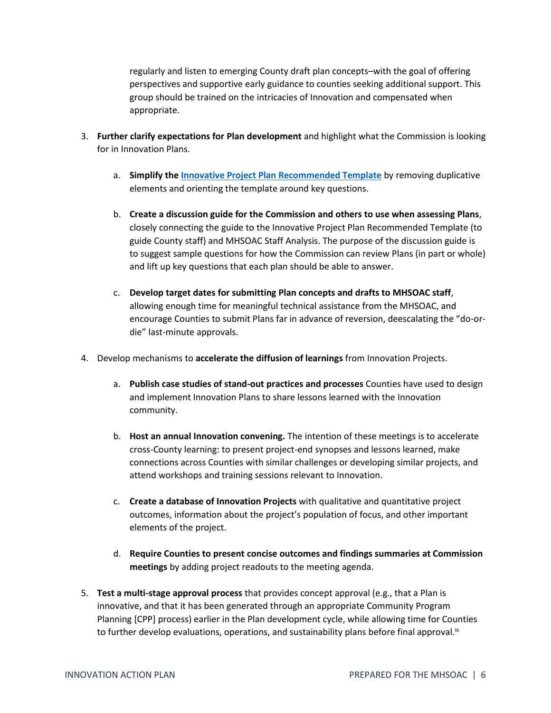regularly and listen to emerging County draft plan concepts–with the goal of offering perspectives and supportive early guidance to counties seeking additional support. This group should be trained on the intricacies of Innovation and compensated when appropriate.

- 3. **Further clarify expectations for Plan development** and highlight what the Commission is looking for in Innovation Plans.
	- a. **Simplify the [Innovative Project Plan Recommended Template](http://mhsoac.ca.gov/document/2018-05/innovative-project-plan-recommended-template)** by removing duplicative elements and orienting the template around key questions.
	- b. **Create a discussion guide for the Commission and others to use when assessing Plans**, closely connecting the guide to the Innovative Project Plan Recommended Template (to guide County staff) and MHSOAC Staff Analysis. The purpose of the discussion guide is to suggest sample questions for how the Commission can review Plans (in part or whole) and lift up key questions that each plan should be able to answer.
	- c. **Develop target dates for submitting Plan concepts and drafts to MHSOAC staff**, allowing enough time for meaningful technical assistance from the MHSOAC, and encourage Counties to submit Plans far in advance of reversion, deescalating the "do-ordie" last-minute approvals.
- 4. Develop mechanisms to **accelerate the diffusion of learnings** from Innovation Projects.
	- a. **Publish case studies of stand-out practices and processes** Counties have used to design and implement Innovation Plans to share lessons learned with the Innovation community.
	- b. **Host an annual Innovation convening.** The intention of these meetings is to accelerate cross-County learning: to present project-end synopses and lessons learned, make connections across Counties with similar challenges or developing similar projects, and attend workshops and training sessions relevant to Innovation.
	- c. **Create a database of Innovation Projects** with qualitative and quantitative project outcomes, information about the project's population of focus, and other important elements of the project.
	- d. **Require Counties to present concise outcomes and findings summaries at Commission meetings** by adding project readouts to the meeting agenda.
- 5. **Test a multi-stage approval process** that provides concept approval (e.g., that a Plan is innovative, and that it has been generated through an appropriate Community Program Planning [CPP] process) earlier in the Plan development cycle, while allowing time for Counties to further develop evaluations, operations, and sustainability plans before final approval.<sup>1x</sup>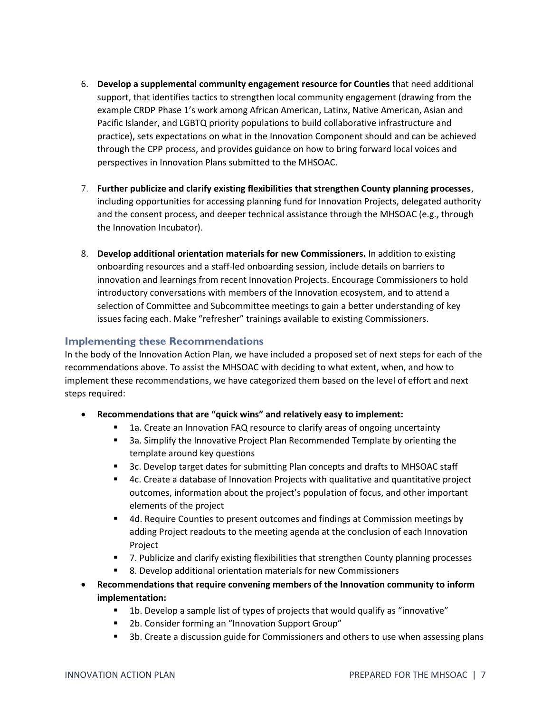- 6. **Develop a supplemental community engagement resource for Counties** that need additional support, that identifies tactics to strengthen local community engagement (drawing from the example CRDP Phase 1's work among African American, Latinx, Native American, Asian and Pacific Islander, and LGBTQ priority populations to build collaborative infrastructure and practice), sets expectations on what in the Innovation Component should and can be achieved through the CPP process, and provides guidance on how to bring forward local voices and perspectives in Innovation Plans submitted to the MHSOAC.
- 7. **Further publicize and clarify existing flexibilities that strengthen County planning processes**, including opportunities for accessing planning fund for Innovation Projects, delegated authority and the consent process, and deeper technical assistance through the MHSOAC (e.g., through the Innovation Incubator).
- 8. **Develop additional orientation materials for new Commissioners.** In addition to existing onboarding resources and a staff-led onboarding session, include details on barriers to innovation and learnings from recent Innovation Projects. Encourage Commissioners to hold introductory conversations with members of the Innovation ecosystem, and to attend a selection of Committee and Subcommittee meetings to gain a better understanding of key issues facing each. Make "refresher" trainings available to existing Commissioners.

### <span id="page-6-0"></span>**Implementing these Recommendations**

In the body of the Innovation Action Plan, we have included a proposed set of next steps for each of the recommendations above. To assist the MHSOAC with deciding to what extent, when, and how to implement these recommendations, we have categorized them based on the level of effort and next steps required:

- **Recommendations that are "quick wins" and relatively easy to implement:**
	- 1a. Create an Innovation FAQ resource to clarify areas of ongoing uncertainty
	- 3a. Simplify the Innovative Project Plan Recommended Template by orienting the template around key questions
	- 3c. Develop target dates for submitting Plan concepts and drafts to MHSOAC staff
	- 4c. Create a database of Innovation Projects with qualitative and quantitative project outcomes, information about the project's population of focus, and other important elements of the project
	- 4d. Require Counties to present outcomes and findings at Commission meetings by adding Project readouts to the meeting agenda at the conclusion of each Innovation Project
	- 7. Publicize and clarify existing flexibilities that strengthen County planning processes
	- 8. Develop additional orientation materials for new Commissioners
- **Recommendations that require convening members of the Innovation community to inform implementation:**
	- 1b. Develop a sample list of types of projects that would qualify as "innovative"
	- 2b. Consider forming an "Innovation Support Group"
	- 3b. Create a discussion guide for Commissioners and others to use when assessing plans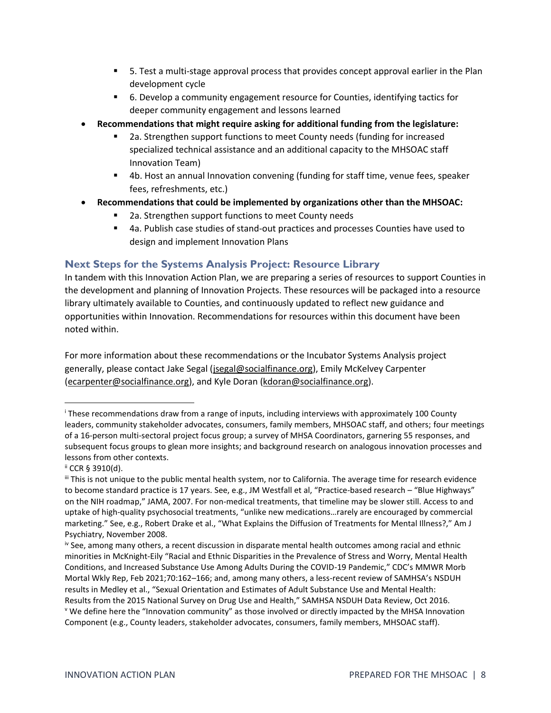- 5. Test a multi-stage approval process that provides concept approval earlier in the Plan development cycle
- 6. Develop a community engagement resource for Counties, identifying tactics for deeper community engagement and lessons learned
- **Recommendations that might require asking for additional funding from the legislature:**
	- 2a. Strengthen support functions to meet County needs (funding for increased specialized technical assistance and an additional capacity to the MHSOAC staff Innovation Team)
	- 4b. Host an annual Innovation convening (funding for staff time, venue fees, speaker fees, refreshments, etc.)
- **Recommendations that could be implemented by organizations other than the MHSOAC:**
	- 2a. Strengthen support functions to meet County needs
	- 4a. Publish case studies of stand-out practices and processes Counties have used to design and implement Innovation Plans

### <span id="page-7-0"></span>**Next Steps for the Systems Analysis Project: Resource Library**

In tandem with this Innovation Action Plan, we are preparing a series of resources to support Counties in the development and planning of Innovation Projects. These resources will be packaged into a resource library ultimately available to Counties, and continuously updated to reflect new guidance and opportunities within Innovation. Recommendations for resources within this document have been noted within.

For more information about these recommendations or the Incubator Systems Analysis project generally, please contact Jake Segal [\(jsegal@socialfinance.org\)](mailto:jsegal@socialfinance.org), Emily McKelvey Carpenter [\(ecarpenter@socialfinance.org\)](mailto:ecarpenter@socialfinance.org), and Kyle Doran [\(kdoran@socialfinance.org\)](mailto:kdoran@socialfinance.org).

<sup>i</sup> These recommendations draw from a range of inputs, including interviews with approximately 100 County leaders, community stakeholder advocates, consumers, family members, MHSOAC staff, and others; four meetings of a 16-person multi-sectoral project focus group; a survey of MHSA Coordinators, garnering 55 responses, and subsequent focus groups to glean more insights; and background research on analogous innovation processes and lessons from other contexts.

ii CCR § 3910(d).

<sup>&</sup>quot; This is not unique to the public mental health system, nor to California. The average time for research evidence to become standard practice is 17 years. See, e.g., JM Westfall et al, "Practice-based research - "Blue Highways" on the NIH roadmap," JAMA, 2007. For non-medical treatments, that timeline may be slower still. Access to and uptake of high-quality psychosocial treatments, "unlike new medications…rarely are encouraged by commercial marketing." See, e.g., Robert Drake et al., "What Explains the Diffusion of Treatments for Mental Illness?," Am J Psychiatry, November 2008.

iv See, among many others, a recent discussion in disparate mental health outcomes among racial and ethnic minorities in McKnight-Eily "Racial and Ethnic Disparities in the Prevalence of Stress and Worry, Mental Health Conditions, and Increased Substance Use Among Adults During the COVID-19 Pandemic," CDC's MMWR Morb Mortal Wkly Rep, Feb 2021;70:162–166; and, among many others, a less-recent review of SAMHSA's NSDUH results in Medley et al., "Sexual Orientation and Estimates of Adult Substance Use and Mental Health: Results from the 2015 National Survey on Drug Use and Health," SAMHSA NSDUH Data Review, Oct 2016. <sup>v</sup> We define here the "Innovation community" as those involved or directly impacted by the MHSA Innovation Component (e.g., County leaders, stakeholder advocates, consumers, family members, MHSOAC staff).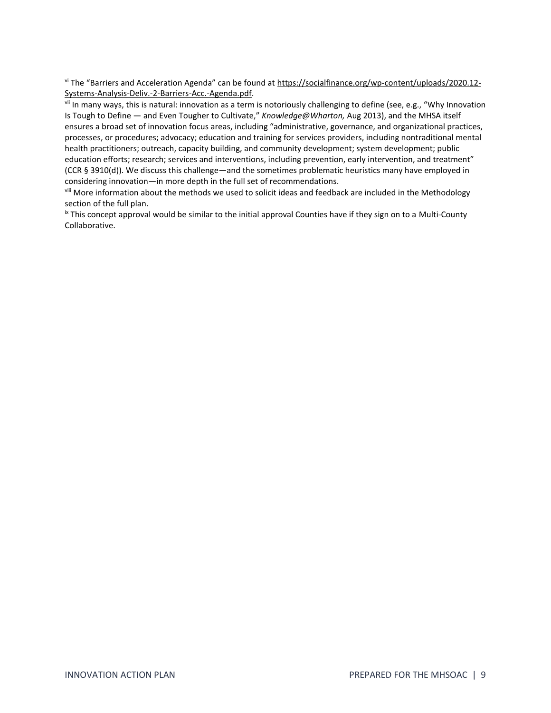vi The "Barriers and Acceleration Agenda" can be found at [https://socialfinance.org/wp-content/uploads/2020.12-](https://socialfinance.org/wp-content/uploads/2020.12-Systems-Analysis-Deliv.-2-Barriers-Acc.-Agenda.pdf) [Systems-Analysis-Deliv.-2-Barriers-Acc.-Agenda.pdf.](https://socialfinance.org/wp-content/uploads/2020.12-Systems-Analysis-Deliv.-2-Barriers-Acc.-Agenda.pdf)

vii In many ways, this is natural: innovation as a term is notoriously challenging to define (see, e.g., "Why Innovation Is Tough to Define — and Even Tougher to Cultivate," *Knowledge@Wharton,* Aug 2013), and the MHSA itself ensures a broad set of innovation focus areas, including "administrative, governance, and organizational practices, processes, or procedures; advocacy; education and training for services providers, including nontraditional mental health practitioners; outreach, capacity building, and community development; system development; public education efforts; research; services and interventions, including prevention, early intervention, and treatment" (CCR § 3910(d)). We discuss this challenge—and the sometimes problematic heuristics many have employed in considering innovation—in more depth in the full set of recommendations.

viii More information about the methods we used to solicit ideas and feedback are included in the Methodology section of the full plan.

<sup>ix</sup> This concept approval would be similar to the initial approval Counties have if they sign on to a Multi-County Collaborative.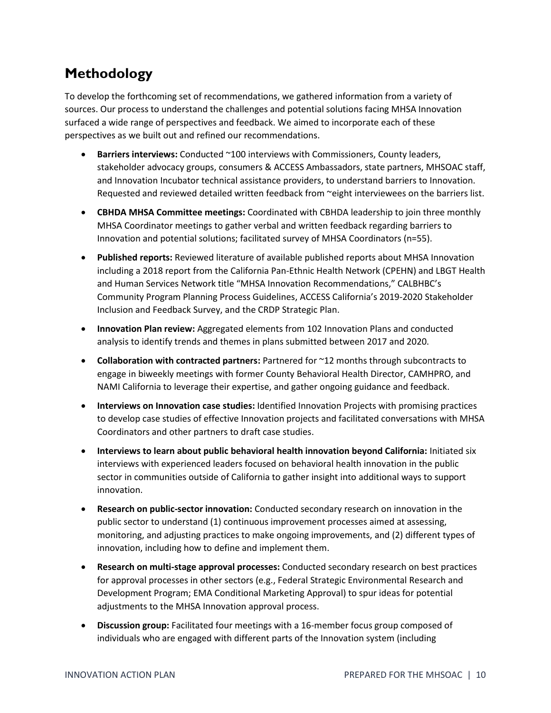# <span id="page-9-0"></span>**Methodology**

To develop the forthcoming set of recommendations, we gathered information from a variety of sources. Our process to understand the challenges and potential solutions facing MHSA Innovation surfaced a wide range of perspectives and feedback. We aimed to incorporate each of these perspectives as we built out and refined our recommendations.

- **Barriers interviews:** Conducted ~100 interviews with Commissioners, County leaders, stakeholder advocacy groups, consumers & ACCESS Ambassadors, state partners, MHSOAC staff, and Innovation Incubator technical assistance providers, to understand barriers to Innovation. Requested and reviewed detailed written feedback from ~eight interviewees on the barriers list.
- **CBHDA MHSA Committee meetings:** Coordinated with CBHDA leadership to join three monthly MHSA Coordinator meetings to gather verbal and written feedback regarding barriers to Innovation and potential solutions; facilitated survey of MHSA Coordinators (n=55).
- **Published reports:** Reviewed literature of available published reports about MHSA Innovation including a 2018 report from the California Pan-Ethnic Health Network (CPEHN) and LBGT Health and Human Services Network title "MHSA Innovation Recommendations," CALBHBC's Community Program Planning Process Guidelines, ACCESS California's 2019-2020 Stakeholder Inclusion and Feedback Survey, and the CRDP Strategic Plan.
- **Innovation Plan review:** Aggregated elements from 102 Innovation Plans and conducted analysis to identify trends and themes in plans submitted between 2017 and 2020.
- **Collaboration with contracted partners:** Partnered for ~12 months through subcontracts to engage in biweekly meetings with former County Behavioral Health Director, CAMHPRO, and NAMI California to leverage their expertise, and gather ongoing guidance and feedback.
- **Interviews on Innovation case studies:** Identified Innovation Projects with promising practices to develop case studies of effective Innovation projects and facilitated conversations with MHSA Coordinators and other partners to draft case studies.
- **Interviews to learn about public behavioral health innovation beyond California:** Initiated six interviews with experienced leaders focused on behavioral health innovation in the public sector in communities outside of California to gather insight into additional ways to support innovation.
- **Research on public-sector innovation:** Conducted secondary research on innovation in the public sector to understand (1) continuous improvement processes aimed at assessing, monitoring, and adjusting practices to make ongoing improvements, and (2) different types of innovation, including how to define and implement them.
- **Research on multi-stage approval processes:** Conducted secondary research on best practices for approval processes in other sectors (e.g., Federal Strategic Environmental Research and Development Program; EMA Conditional Marketing Approval) to spur ideas for potential adjustments to the MHSA Innovation approval process.
- **Discussion group:** Facilitated four meetings with a 16-member focus group composed of individuals who are engaged with different parts of the Innovation system (including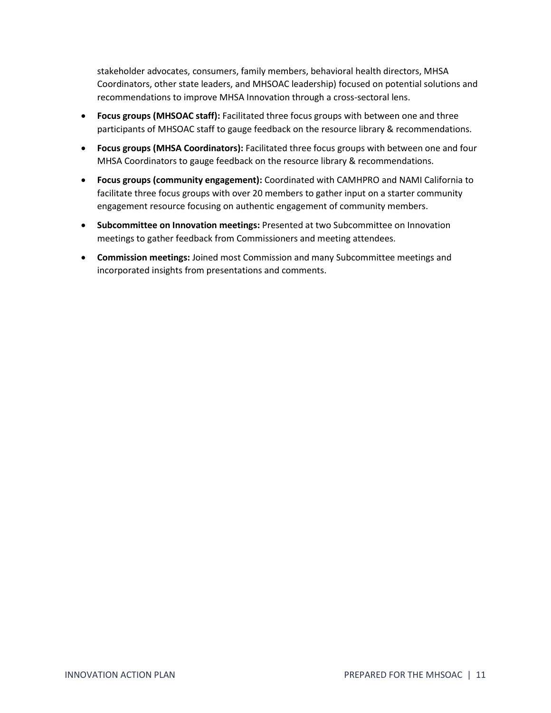stakeholder advocates, consumers, family members, behavioral health directors, MHSA Coordinators, other state leaders, and MHSOAC leadership) focused on potential solutions and recommendations to improve MHSA Innovation through a cross-sectoral lens.

- **Focus groups (MHSOAC staff):** Facilitated three focus groups with between one and three participants of MHSOAC staff to gauge feedback on the resource library & recommendations.
- **Focus groups (MHSA Coordinators):** Facilitated three focus groups with between one and four MHSA Coordinators to gauge feedback on the resource library & recommendations.
- **Focus groups (community engagement):** Coordinated with CAMHPRO and NAMI California to facilitate three focus groups with over 20 members to gather input on a starter community engagement resource focusing on authentic engagement of community members.
- **Subcommittee on Innovation meetings:** Presented at two Subcommittee on Innovation meetings to gather feedback from Commissioners and meeting attendees.
- **Commission meetings:** Joined most Commission and many Subcommittee meetings and incorporated insights from presentations and comments.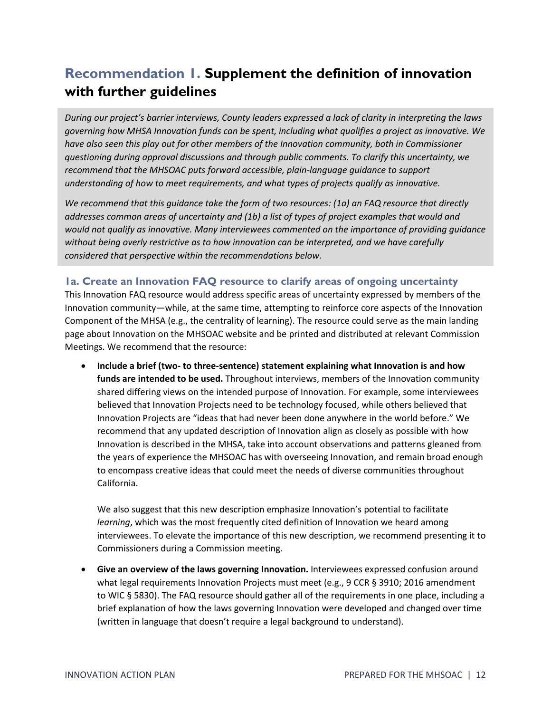# <span id="page-11-0"></span>**Recommendation 1. Supplement the definition of innovation with further guidelines**

*During our project's barrier interviews, County leaders expressed a lack of clarity in interpreting the laws governing how MHSA Innovation funds can be spent, including what qualifies a project as innovative. We have also seen this play out for other members of the Innovation community, both in Commissioner questioning during approval discussions and through public comments. To clarify this uncertainty, we recommend that the MHSOAC puts forward accessible, plain-language guidance to support understanding of how to meet requirements, and what types of projects qualify as innovative.* 

*We recommend that this guidance take the form of two resources: (1a) an FAQ resource that directly addresses common areas of uncertainty and (1b) a list of types of project examples that would and would not qualify as innovative. Many interviewees commented on the importance of providing guidance without being overly restrictive as to how innovation can be interpreted, and we have carefully considered that perspective within the recommendations below.*

### <span id="page-11-1"></span>**1a. Create an Innovation FAQ resource to clarify areas of ongoing uncertainty**

This Innovation FAQ resource would address specific areas of uncertainty expressed by members of the Innovation community—while, at the same time, attempting to reinforce core aspects of the Innovation Component of the MHSA (e.g., the centrality of learning). The resource could serve as the main landing page about Innovation on the MHSOAC website and be printed and distributed at relevant Commission Meetings. We recommend that the resource:

• **Include a brief (two- to three-sentence) statement explaining what Innovation is and how funds are intended to be used.** Throughout interviews, members of the Innovation community shared differing views on the intended purpose of Innovation. For example, some interviewees believed that Innovation Projects need to be technology focused, while others believed that Innovation Projects are "ideas that had never been done anywhere in the world before." We recommend that any updated description of Innovation align as closely as possible with how Innovation is described in the MHSA, take into account observations and patterns gleaned from the years of experience the MHSOAC has with overseeing Innovation, and remain broad enough to encompass creative ideas that could meet the needs of diverse communities throughout California.

We also suggest that this new description emphasize Innovation's potential to facilitate *learning*, which was the most frequently cited definition of Innovation we heard among interviewees. To elevate the importance of this new description, we recommend presenting it to Commissioners during a Commission meeting.

• **Give an overview of the laws governing Innovation.** Interviewees expressed confusion around what legal requirements Innovation Projects must meet (e.g., 9 CCR § 3910; 2016 amendment to WIC § 5830). The FAQ resource should gather all of the requirements in one place, including a brief explanation of how the laws governing Innovation were developed and changed over time (written in language that doesn't require a legal background to understand).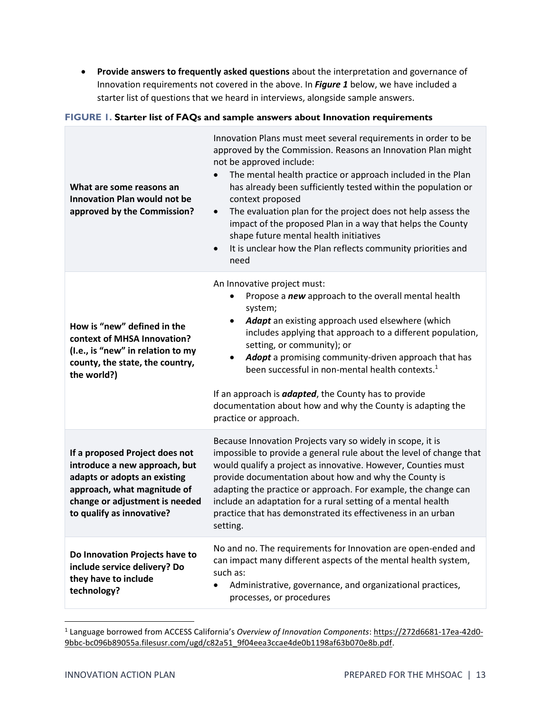• **Provide answers to frequently asked questions** about the interpretation and governance of Innovation requirements not covered in the above. In *Figure 1* below, we have included a starter list of questions that we heard in interviews, alongside sample answers.

#### **FIGURE 1. Starter list of FAQs and sample answers about Innovation requirements**

| What are some reasons an<br><b>Innovation Plan would not be</b><br>approved by the Commission?                                                                                                | Innovation Plans must meet several requirements in order to be<br>approved by the Commission. Reasons an Innovation Plan might<br>not be approved include:<br>The mental health practice or approach included in the Plan<br>has already been sufficiently tested within the population or<br>context proposed<br>The evaluation plan for the project does not help assess the<br>$\bullet$<br>impact of the proposed Plan in a way that helps the County<br>shape future mental health initiatives<br>It is unclear how the Plan reflects community priorities and<br>$\bullet$<br>need |  |
|-----------------------------------------------------------------------------------------------------------------------------------------------------------------------------------------------|------------------------------------------------------------------------------------------------------------------------------------------------------------------------------------------------------------------------------------------------------------------------------------------------------------------------------------------------------------------------------------------------------------------------------------------------------------------------------------------------------------------------------------------------------------------------------------------|--|
| How is "new" defined in the<br>context of MHSA Innovation?<br>(I.e., is "new" in relation to my<br>county, the state, the country,<br>the world?)                                             | An Innovative project must:<br>Propose a new approach to the overall mental health<br>system;<br>Adapt an existing approach used elsewhere (which<br>includes applying that approach to a different population,<br>setting, or community); or<br>Adopt a promising community-driven approach that has<br>been successful in non-mental health contexts. <sup>1</sup><br>If an approach is <b>adapted</b> , the County has to provide<br>documentation about how and why the County is adapting the<br>practice or approach.                                                              |  |
| If a proposed Project does not<br>introduce a new approach, but<br>adapts or adopts an existing<br>approach, what magnitude of<br>change or adjustment is needed<br>to qualify as innovative? | Because Innovation Projects vary so widely in scope, it is<br>impossible to provide a general rule about the level of change that<br>would qualify a project as innovative. However, Counties must<br>provide documentation about how and why the County is<br>adapting the practice or approach. For example, the change can<br>include an adaptation for a rural setting of a mental health<br>practice that has demonstrated its effectiveness in an urban<br>setting.                                                                                                                |  |
| Do Innovation Projects have to<br>include service delivery? Do<br>they have to include<br>technology?                                                                                         | No and no. The requirements for Innovation are open-ended and<br>can impact many different aspects of the mental health system,<br>such as:<br>Administrative, governance, and organizational practices,<br>processes, or procedures                                                                                                                                                                                                                                                                                                                                                     |  |

<sup>1</sup> Language borrowed from ACCESS California's *Overview of Innovation Components*[: https://272d6681-17ea-42d0-](https://272d6681-17ea-42d0-9bbc-bc096b89055a.filesusr.com/ugd/c82a51_9f04eea3ccae4de0b1198af63b070e8b.pdf) [9bbc-bc096b89055a.filesusr.com/ugd/c82a51\\_9f04eea3ccae4de0b1198af63b070e8b.pdf.](https://272d6681-17ea-42d0-9bbc-bc096b89055a.filesusr.com/ugd/c82a51_9f04eea3ccae4de0b1198af63b070e8b.pdf)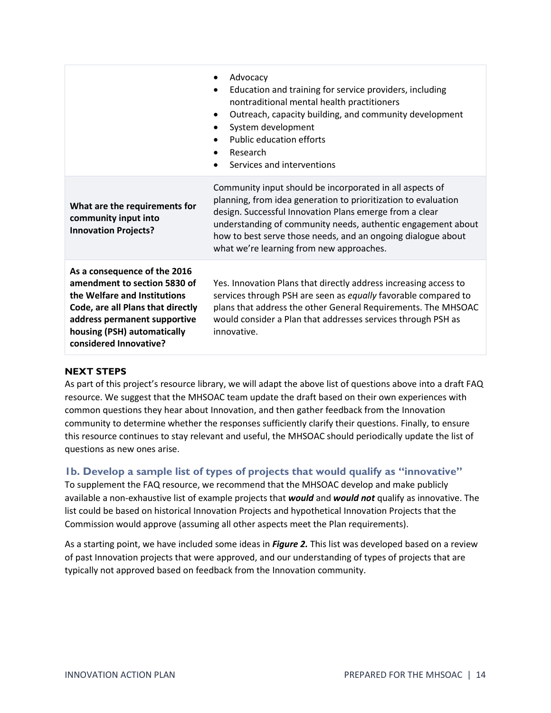|                                                                                                                                                                                                                            | Advocacy<br>$\bullet$<br>Education and training for service providers, including<br>$\bullet$<br>nontraditional mental health practitioners<br>Outreach, capacity building, and community development<br>$\bullet$<br>System development<br>$\bullet$<br><b>Public education efforts</b><br>Research<br>$\bullet$<br>Services and interventions                   |
|----------------------------------------------------------------------------------------------------------------------------------------------------------------------------------------------------------------------------|-------------------------------------------------------------------------------------------------------------------------------------------------------------------------------------------------------------------------------------------------------------------------------------------------------------------------------------------------------------------|
| What are the requirements for<br>community input into<br><b>Innovation Projects?</b>                                                                                                                                       | Community input should be incorporated in all aspects of<br>planning, from idea generation to prioritization to evaluation<br>design. Successful Innovation Plans emerge from a clear<br>understanding of community needs, authentic engagement about<br>how to best serve those needs, and an ongoing dialogue about<br>what we're learning from new approaches. |
| As a consequence of the 2016<br>amendment to section 5830 of<br>the Welfare and Institutions<br>Code, are all Plans that directly<br>address permanent supportive<br>housing (PSH) automatically<br>considered Innovative? | Yes. Innovation Plans that directly address increasing access to<br>services through PSH are seen as equally favorable compared to<br>plans that address the other General Requirements. The MHSOAC<br>would consider a Plan that addresses services through PSH as<br>innovative.                                                                                |

#### **NEXT STEPS**

As part of this project's resource library, we will adapt the above list of questions above into a draft FAQ resource. We suggest that the MHSOAC team update the draft based on their own experiences with common questions they hear about Innovation, and then gather feedback from the Innovation community to determine whether the responses sufficiently clarify their questions. Finally, to ensure this resource continues to stay relevant and useful, the MHSOAC should periodically update the list of questions as new ones arise.

#### <span id="page-13-0"></span>**1b. Develop a sample list of types of projects that would qualify as "innovative"**

To supplement the FAQ resource, we recommend that the MHSOAC develop and make publicly available a non-exhaustive list of example projects that *would* and *would not* qualify as innovative. The list could be based on historical Innovation Projects and hypothetical Innovation Projects that the Commission would approve (assuming all other aspects meet the Plan requirements).

As a starting point, we have included some ideas in *Figure 2.* This list was developed based on a review of past Innovation projects that were approved, and our understanding of types of projects that are typically not approved based on feedback from the Innovation community.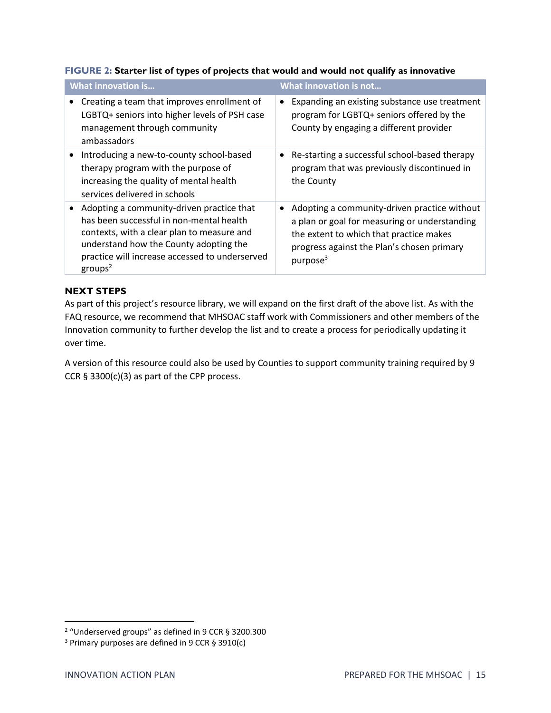| <b>What innovation is</b>                      | What innovation is not                        |  |
|------------------------------------------------|-----------------------------------------------|--|
| Creating a team that improves enrollment of    | Expanding an existing substance use treatment |  |
| LGBTQ+ seniors into higher levels of PSH case  | $\bullet$                                     |  |
| management through community                   | program for LGBTQ+ seniors offered by the     |  |
| ambassadors                                    | County by engaging a different provider       |  |
| Introducing a new-to-county school-based       | Re-starting a successful school-based therapy |  |
| therapy program with the purpose of            | ٠                                             |  |
| increasing the quality of mental health        | program that was previously discontinued in   |  |
| services delivered in schools                  | the County                                    |  |
| Adopting a community-driven practice that      | Adopting a community-driven practice without  |  |
| has been successful in non-mental health       | ٠                                             |  |
| contexts, with a clear plan to measure and     | a plan or goal for measuring or understanding |  |
| understand how the County adopting the         | the extent to which that practice makes       |  |
| practice will increase accessed to underserved | progress against the Plan's chosen primary    |  |
| groups <sup>2</sup>                            | purpose <sup>3</sup>                          |  |

#### **FIGURE 2: Starter list of types of projects that would and would not qualify as innovative**

#### **NEXT STEPS**

As part of this project's resource library, we will expand on the first draft of the above list. As with the FAQ resource, we recommend that MHSOAC staff work with Commissioners and other members of the Innovation community to further develop the list and to create a process for periodically updating it over time.

A version of this resource could also be used by Counties to support community training required by 9 CCR  $\S$  3300(c)(3) as part of the CPP process.

<sup>&</sup>lt;sup>2</sup> "Underserved groups" as defined in 9 CCR § 3200.300

<sup>3</sup> Primary purposes are defined in 9 CCR § 3910(c)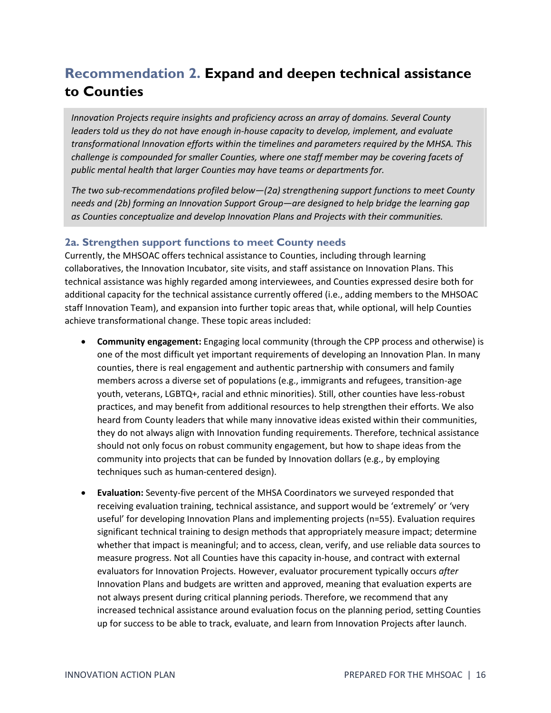# <span id="page-15-0"></span>**Recommendation 2. Expand and deepen technical assistance to Counties**

*Innovation Projects require insights and proficiency across an array of domains. Several County leaders told us they do not have enough in-house capacity to develop, implement, and evaluate transformational Innovation efforts within the timelines and parameters required by the MHSA. This challenge is compounded for smaller Counties, where one staff member may be covering facets of public mental health that larger Counties may have teams or departments for.*

*The two sub-recommendations profiled below—(2a) strengthening support functions to meet County needs and (2b) forming an Innovation Support Group—are designed to help bridge the learning gap as Counties conceptualize and develop Innovation Plans and Projects with their communities.* 

### <span id="page-15-1"></span>**2a. Strengthen support functions to meet County needs**

Currently, the MHSOAC offers technical assistance to Counties, including through learning collaboratives, the Innovation Incubator, site visits, and staff assistance on Innovation Plans. This technical assistance was highly regarded among interviewees, and Counties expressed desire both for additional capacity for the technical assistance currently offered (i.e., adding members to the MHSOAC staff Innovation Team), and expansion into further topic areas that, while optional, will help Counties achieve transformational change. These topic areas included:

- **Community engagement:** Engaging local community (through the CPP process and otherwise) is one of the most difficult yet important requirements of developing an Innovation Plan. In many counties, there is real engagement and authentic partnership with consumers and family members across a diverse set of populations (e.g., immigrants and refugees, transition-age youth, veterans, LGBTQ+, racial and ethnic minorities). Still, other counties have less-robust practices, and may benefit from additional resources to help strengthen their efforts. We also heard from County leaders that while many innovative ideas existed within their communities, they do not always align with Innovation funding requirements. Therefore, technical assistance should not only focus on robust community engagement, but how to shape ideas from the community into projects that can be funded by Innovation dollars (e.g., by employing techniques such as human-centered design).
- **Evaluation:** Seventy-five percent of the MHSA Coordinators we surveyed responded that receiving evaluation training, technical assistance, and support would be 'extremely' or 'very useful' for developing Innovation Plans and implementing projects (n=55). Evaluation requires significant technical training to design methods that appropriately measure impact; determine whether that impact is meaningful; and to access, clean, verify, and use reliable data sources to measure progress. Not all Counties have this capacity in-house, and contract with external evaluators for Innovation Projects. However, evaluator procurement typically occurs *after* Innovation Plans and budgets are written and approved, meaning that evaluation experts are not always present during critical planning periods. Therefore, we recommend that any increased technical assistance around evaluation focus on the planning period, setting Counties up for success to be able to track, evaluate, and learn from Innovation Projects after launch.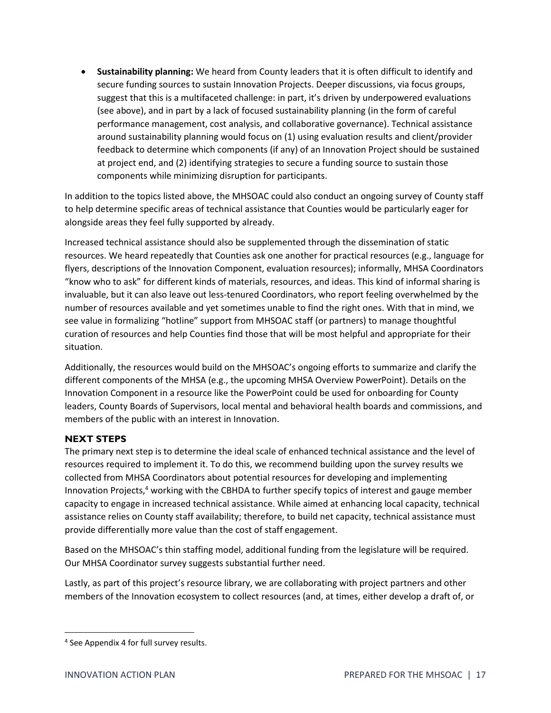• **Sustainability planning:** We heard from County leaders that it is often difficult to identify and secure funding sources to sustain Innovation Projects. Deeper discussions, via focus groups, suggest that this is a multifaceted challenge: in part, it's driven by underpowered evaluations (see above), and in part by a lack of focused sustainability planning (in the form of careful performance management, cost analysis, and collaborative governance). Technical assistance around sustainability planning would focus on (1) using evaluation results and client/provider feedback to determine which components (if any) of an Innovation Project should be sustained at project end, and (2) identifying strategies to secure a funding source to sustain those components while minimizing disruption for participants.

In addition to the topics listed above, the MHSOAC could also conduct an ongoing survey of County staff to help determine specific areas of technical assistance that Counties would be particularly eager for alongside areas they feel fully supported by already.

Increased technical assistance should also be supplemented through the dissemination of static resources. We heard repeatedly that Counties ask one another for practical resources (e.g., language for flyers, descriptions of the Innovation Component, evaluation resources); informally, MHSA Coordinators "know who to ask" for different kinds of materials, resources, and ideas. This kind of informal sharing is invaluable, but it can also leave out less-tenured Coordinators, who report feeling overwhelmed by the number of resources available and yet sometimes unable to find the right ones. With that in mind, we see value in formalizing "hotline" support from MHSOAC staff (or partners) to manage thoughtful curation of resources and help Counties find those that will be most helpful and appropriate for their situation.

Additionally, the resources would build on the MHSOAC's ongoing efforts to summarize and clarify the different components of the MHSA (e.g., the upcoming MHSA Overview PowerPoint). Details on the Innovation Component in a resource like the PowerPoint could be used for onboarding for County leaders, County Boards of Supervisors, local mental and behavioral health boards and commissions, and members of the public with an interest in Innovation.

#### **NEXT STEPS**

The primary next step is to determine the ideal scale of enhanced technical assistance and the level of resources required to implement it. To do this, we recommend building upon the survey results we collected from MHSA Coordinators about potential resources for developing and implementing Innovation Projects, <sup>4</sup> working with the CBHDA to further specify topics of interest and gauge member capacity to engage in increased technical assistance. While aimed at enhancing local capacity, technical assistance relies on County staff availability; therefore, to build net capacity, technical assistance must provide differentially more value than the cost of staff engagement.

Based on the MHSOAC's thin staffing model, additional funding from the legislature will be required. Our MHSA Coordinator survey suggests substantial further need.

Lastly, as part of this project's resource library, we are collaborating with project partners and other members of the Innovation ecosystem to collect resources (and, at times, either develop a draft of, or

<sup>4</sup> See Appendix 4 for full survey results.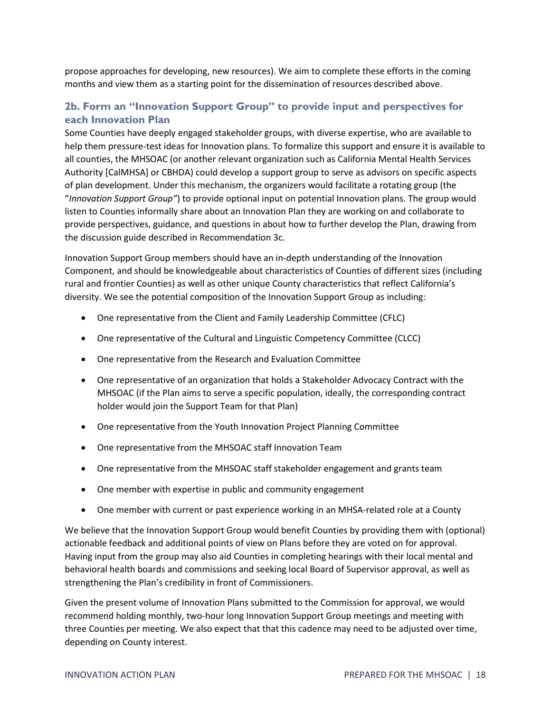propose approaches for developing, new resources). We aim to complete these efforts in the coming months and view them as a starting point for the dissemination of resources described above.

### <span id="page-17-0"></span>**2b. Form an "Innovation Support Group" to provide input and perspectives for each Innovation Plan**

Some Counties have deeply engaged stakeholder groups, with diverse expertise, who are available to help them pressure-test ideas for Innovation plans. To formalize this support and ensure it is available to all counties, the MHSOAC (or another relevant organization such as California Mental Health Services Authority [CalMHSA] or CBHDA) could develop a support group to serve as advisors on specific aspects of plan development. Under this mechanism, the organizers would facilitate a rotating group (the "*Innovation Support Group"*) to provide optional input on potential Innovation plans. The group would listen to Counties informally share about an Innovation Plan they are working on and collaborate to provide perspectives, guidance, and questions in about how to further develop the Plan, drawing from the discussion guide described in Recommendation 3c.

Innovation Support Group members should have an in-depth understanding of the Innovation Component, and should be knowledgeable about characteristics of Counties of different sizes (including rural and frontier Counties) as well as other unique County characteristics that reflect California's diversity. We see the potential composition of the Innovation Support Group as including:

- One representative from the Client and Family Leadership Committee (CFLC)
- One representative of the Cultural and Linguistic Competency Committee (CLCC)
- One representative from the Research and Evaluation Committee
- One representative of an organization that holds a Stakeholder Advocacy Contract with the MHSOAC (if the Plan aims to serve a specific population, ideally, the corresponding contract holder would join the Support Team for that Plan)
- One representative from the Youth Innovation Project Planning Committee
- One representative from the MHSOAC staff Innovation Team
- One representative from the MHSOAC staff stakeholder engagement and grants team
- One member with expertise in public and community engagement
- One member with current or past experience working in an MHSA-related role at a County

We believe that the Innovation Support Group would benefit Counties by providing them with (optional) actionable feedback and additional points of view on Plans before they are voted on for approval. Having input from the group may also aid Counties in completing hearings with their local mental and behavioral health boards and commissions and seeking local Board of Supervisor approval, as well as strengthening the Plan's credibility in front of Commissioners.

Given the present volume of Innovation Plans submitted to the Commission for approval, we would recommend holding monthly, two-hour long Innovation Support Group meetings and meeting with three Counties per meeting. We also expect that that this cadence may need to be adjusted over time, depending on County interest.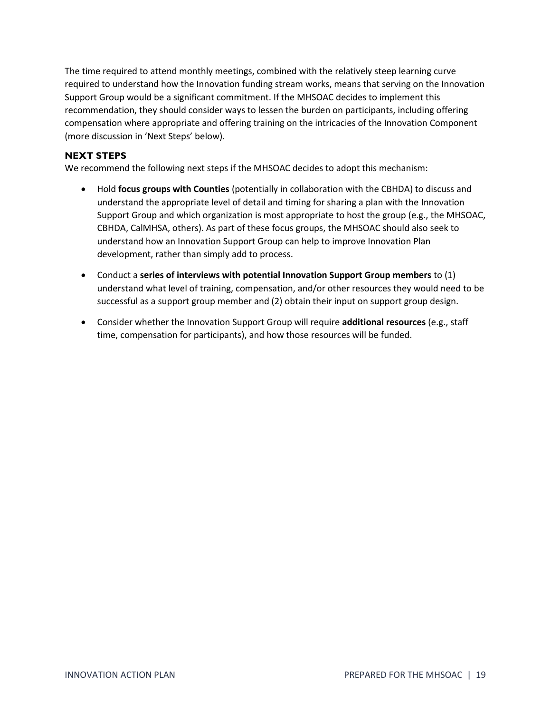The time required to attend monthly meetings, combined with the relatively steep learning curve required to understand how the Innovation funding stream works, means that serving on the Innovation Support Group would be a significant commitment. If the MHSOAC decides to implement this recommendation, they should consider ways to lessen the burden on participants, including offering compensation where appropriate and offering training on the intricacies of the Innovation Component (more discussion in 'Next Steps' below).

#### **NEXT STEPS**

We recommend the following next steps if the MHSOAC decides to adopt this mechanism:

- Hold **focus groups with Counties** (potentially in collaboration with the CBHDA) to discuss and understand the appropriate level of detail and timing for sharing a plan with the Innovation Support Group and which organization is most appropriate to host the group (e.g., the MHSOAC, CBHDA, CalMHSA, others). As part of these focus groups, the MHSOAC should also seek to understand how an Innovation Support Group can help to improve Innovation Plan development, rather than simply add to process.
- Conduct a **series of interviews with potential Innovation Support Group members** to (1) understand what level of training, compensation, and/or other resources they would need to be successful as a support group member and (2) obtain their input on support group design.
- Consider whether the Innovation Support Group will require **additional resources** (e.g., staff time, compensation for participants), and how those resources will be funded.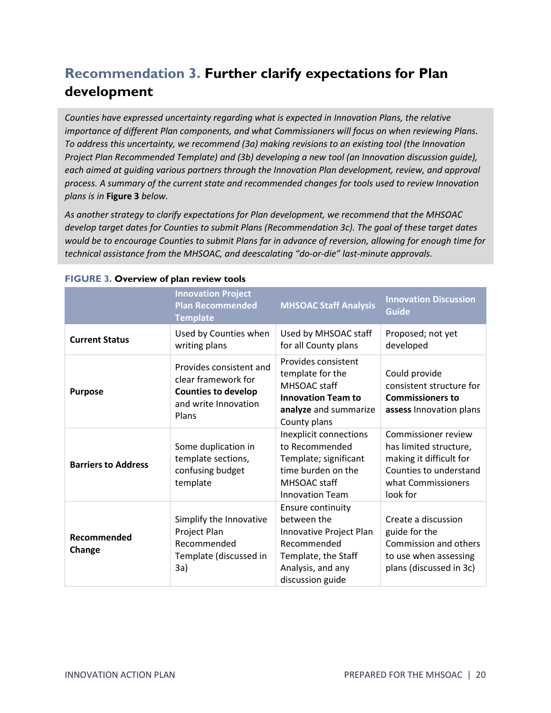# <span id="page-19-0"></span>**Recommendation 3. Further clarify expectations for Plan development**

*Counties have expressed uncertainty regarding what is expected in Innovation Plans, the relative importance of different Plan components, and what Commissioners will focus on when reviewing Plans. To address this uncertainty, we recommend (3a) making revisions to an existing tool (the Innovation Project Plan Recommended Template) and (3b) developing a new tool (an Innovation discussion guide), each aimed at guiding various partners through the Innovation Plan development, review, and approval process. A summary of the current state and recommended changes for tools used to review Innovation plans is in* **Figure 3** *below.*

*As another strategy to clarify expectations for Plan development, we recommend that the MHSOAC develop target dates for Counties to submit Plans (Recommendation 3c). The goal of these target dates would be to encourage Counties to submit Plans far in advance of reversion, allowing for enough time for technical assistance from the MHSOAC, and deescalating "do-or-die" last-minute approvals.*

|                            | <b>Innovation Project</b><br><b>Plan Recommended</b><br><b>Template</b>                                       | <b>MHSOAC Staff Analysis</b>                                                                                                               | <b>Innovation Discussion</b><br><b>Guide</b>                                                                                         |
|----------------------------|---------------------------------------------------------------------------------------------------------------|--------------------------------------------------------------------------------------------------------------------------------------------|--------------------------------------------------------------------------------------------------------------------------------------|
| <b>Current Status</b>      | Used by Counties when<br>writing plans                                                                        | Used by MHSOAC staff<br>for all County plans                                                                                               | Proposed; not yet<br>developed                                                                                                       |
| <b>Purpose</b>             | Provides consistent and<br>clear framework for<br><b>Counties to develop</b><br>and write Innovation<br>Plans | Provides consistent<br>template for the<br>MHSOAC staff<br><b>Innovation Team to</b><br>analyze and summarize<br>County plans              | Could provide<br>consistent structure for<br><b>Commissioners to</b><br>assess Innovation plans                                      |
| <b>Barriers to Address</b> | Some duplication in<br>template sections,<br>confusing budget<br>template                                     | Inexplicit connections<br>to Recommended<br>Template; significant<br>time burden on the<br>MHSOAC staff<br><b>Innovation Team</b>          | Commissioner review<br>has limited structure,<br>making it difficult for<br>Counties to understand<br>what Commissioners<br>look for |
| Recommended<br>Change      | Simplify the Innovative<br>Project Plan<br>Recommended<br>Template (discussed in<br>3a)                       | Ensure continuity<br>between the<br>Innovative Project Plan<br>Recommended<br>Template, the Staff<br>Analysis, and any<br>discussion guide | Create a discussion<br>guide for the<br>Commission and others<br>to use when assessing<br>plans (discussed in 3c)                    |

#### **FIGURE 3. Overview of plan review tools**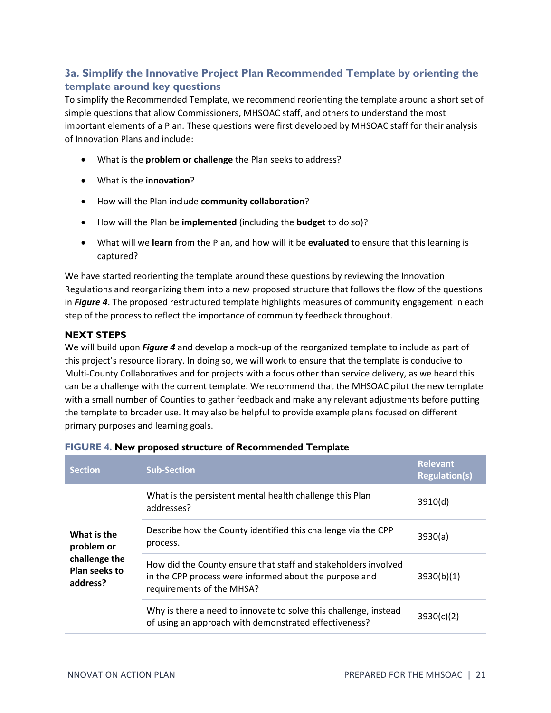### <span id="page-20-0"></span>**3a. Simplify the Innovative Project Plan Recommended Template by orienting the template around key questions**

To simplify the Recommended Template, we recommend reorienting the template around a short set of simple questions that allow Commissioners, MHSOAC staff, and others to understand the most important elements of a Plan. These questions were first developed by MHSOAC staff for their analysis of Innovation Plans and include:

- What is the **problem or challenge** the Plan seeks to address?
- What is the **innovation**?
- How will the Plan include **community collaboration**?
- How will the Plan be **implemented** (including the **budget** to do so)?
- What will we **learn** from the Plan, and how will it be **evaluated** to ensure that this learning is captured?

We have started reorienting the template around these questions by reviewing the Innovation Regulations and reorganizing them into a new proposed structure that follows the flow of the questions in *Figure 4*. The proposed restructured template highlights measures of community engagement in each step of the process to reflect the importance of community feedback throughout.

#### **NEXT STEPS**

We will build upon *Figure 4* and develop a mock-up of the reorganized template to include as part of this project's resource library. In doing so, we will work to ensure that the template is conducive to Multi-County Collaboratives and for projects with a focus other than service delivery, as we heard this can be a challenge with the current template. We recommend that the MHSOAC pilot the new template with a small number of Counties to gather feedback and make any relevant adjustments before putting the template to broader use. It may also be helpful to provide example plans focused on different primary purposes and learning goals.

| <b>Section</b>                             | <b>Sub-Section</b>                                                                                                                                    | <b>Relevant</b><br><b>Regulation(s)</b> |
|--------------------------------------------|-------------------------------------------------------------------------------------------------------------------------------------------------------|-----------------------------------------|
|                                            | What is the persistent mental health challenge this Plan<br>addresses?                                                                                | 3910(d)                                 |
| What is the<br>problem or                  | Describe how the County identified this challenge via the CPP<br>process.                                                                             | 3930(a)                                 |
| challenge the<br>Plan seeks to<br>address? | How did the County ensure that staff and stakeholders involved<br>in the CPP process were informed about the purpose and<br>requirements of the MHSA? | 3930(b)(1)                              |
|                                            | Why is there a need to innovate to solve this challenge, instead<br>of using an approach with demonstrated effectiveness?                             | 3930(c)(2)                              |

#### **FIGURE 4. New proposed structure of Recommended Template**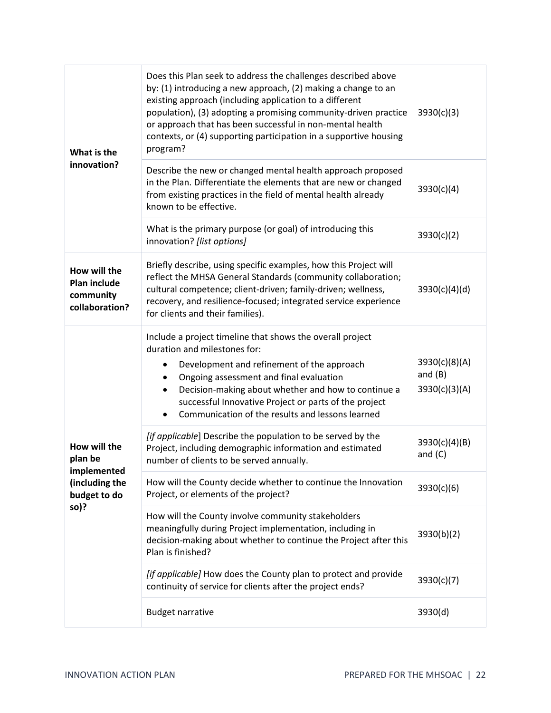| What is the                                                        | Does this Plan seek to address the challenges described above<br>by: (1) introducing a new approach, (2) making a change to an<br>existing approach (including application to a different<br>population), (3) adopting a promising community-driven practice<br>or approach that has been successful in non-mental health<br>contexts, or (4) supporting participation in a supportive housing<br>program? | 3930(c)(3)                                  |
|--------------------------------------------------------------------|------------------------------------------------------------------------------------------------------------------------------------------------------------------------------------------------------------------------------------------------------------------------------------------------------------------------------------------------------------------------------------------------------------|---------------------------------------------|
| innovation?                                                        | Describe the new or changed mental health approach proposed<br>in the Plan. Differentiate the elements that are new or changed<br>from existing practices in the field of mental health already<br>known to be effective.                                                                                                                                                                                  | 3930(c)(4)                                  |
|                                                                    | What is the primary purpose (or goal) of introducing this<br>innovation? [list options]                                                                                                                                                                                                                                                                                                                    | 3930(c)(2)                                  |
| How will the<br><b>Plan include</b><br>community<br>collaboration? | Briefly describe, using specific examples, how this Project will<br>reflect the MHSA General Standards (community collaboration;<br>cultural competence; client-driven; family-driven; wellness,<br>recovery, and resilience-focused; integrated service experience<br>for clients and their families).                                                                                                    | 3930(c)(4)(d)                               |
|                                                                    | Include a project timeline that shows the overall project<br>duration and milestones for:<br>Development and refinement of the approach<br>Ongoing assessment and final evaluation<br>Decision-making about whether and how to continue a<br>successful Innovative Project or parts of the project<br>Communication of the results and lessons learned                                                     | 3930(c)(8)(A)<br>and $(B)$<br>3930(c)(3)(A) |
| How will the<br>plan be<br>implemented                             | [if applicable] Describe the population to be served by the<br>Project, including demographic information and estimated<br>number of clients to be served annually.                                                                                                                                                                                                                                        | 3930(c)(4)(B)<br>and $(C)$                  |
| (including the<br>budget to do                                     | How will the County decide whether to continue the Innovation<br>Project, or elements of the project?                                                                                                                                                                                                                                                                                                      | 3930(c)(6)                                  |
| so)?                                                               | How will the County involve community stakeholders<br>meaningfully during Project implementation, including in<br>decision-making about whether to continue the Project after this<br>Plan is finished?                                                                                                                                                                                                    | 3930(b)(2)                                  |
|                                                                    | [if applicable] How does the County plan to protect and provide<br>continuity of service for clients after the project ends?                                                                                                                                                                                                                                                                               | 3930(c)(7)                                  |
|                                                                    | <b>Budget narrative</b>                                                                                                                                                                                                                                                                                                                                                                                    | 3930(d)                                     |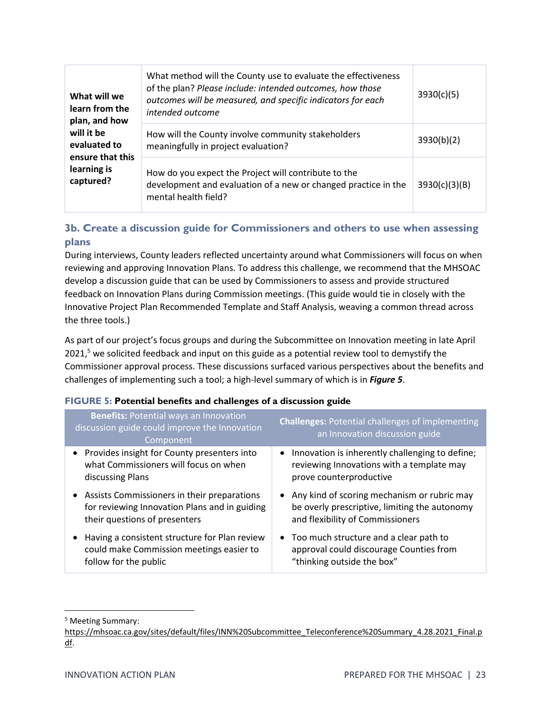| What will we<br>learn from the<br>plan, and how<br>will it be<br>evaluated to | What method will the County use to evaluate the effectiveness<br>of the plan? Please include: intended outcomes, how those<br>outcomes will be measured, and specific indicators for each<br>intended outcome | 3930(c)(5)    |
|-------------------------------------------------------------------------------|---------------------------------------------------------------------------------------------------------------------------------------------------------------------------------------------------------------|---------------|
|                                                                               | How will the County involve community stakeholders<br>meaningfully in project evaluation?                                                                                                                     | 3930(b)(2)    |
| ensure that this<br>learning is<br>captured?                                  | How do you expect the Project will contribute to the<br>development and evaluation of a new or changed practice in the<br>mental health field?                                                                | 3930(c)(3)(B) |

### <span id="page-22-0"></span>**3b. Create a discussion guide for Commissioners and others to use when assessing plans**

During interviews, County leaders reflected uncertainty around what Commissioners will focus on when reviewing and approving Innovation Plans. To address this challenge, we recommend that the MHSOAC develop a discussion guide that can be used by Commissioners to assess and provide structured feedback on Innovation Plans during Commission meetings. (This guide would tie in closely with the Innovative Project Plan Recommended Template and Staff Analysis, weaving a common thread across the three tools.)

As part of our project's focus groups and during the Subcommittee on Innovation meeting in late April 2021,<sup>5</sup> we solicited feedback and input on this guide as a potential review tool to demystify the Commissioner approval process. These discussions surfaced various perspectives about the benefits and challenges of implementing such a tool; a high-level summary of which is in *Figure 5*.

#### **FIGURE 5: Potential benefits and challenges of a discussion guide**

| <b>Benefits: Potential ways an Innovation</b><br>discussion guide could improve the Innovation<br>Component                     | <b>Challenges: Potential challenges of implementing</b><br>an Innovation discussion guide                                            |
|---------------------------------------------------------------------------------------------------------------------------------|--------------------------------------------------------------------------------------------------------------------------------------|
| • Provides insight for County presenters into<br>what Commissioners will focus on when<br>discussing Plans                      | Innovation is inherently challenging to define;<br>$\bullet$<br>reviewing Innovations with a template may<br>prove counterproductive |
| • Assists Commissioners in their preparations<br>for reviewing Innovation Plans and in guiding<br>their questions of presenters | • Any kind of scoring mechanism or rubric may<br>be overly prescriptive, limiting the autonomy<br>and flexibility of Commissioners   |
| Having a consistent structure for Plan review<br>$\bullet$<br>could make Commission meetings easier to<br>follow for the public | • Too much structure and a clear path to<br>approval could discourage Counties from<br>"thinking outside the box"                    |

<sup>5</sup> Meeting Summary:

[https://mhsoac.ca.gov/sites/default/files/INN%20Subcommittee\\_Teleconference%20Summary\\_4.28.2021\\_Final.p](https://mhsoac.ca.gov/sites/default/files/INN%20Subcommittee_Teleconference%20Summary_4.28.2021_Final.pdf) [df.](https://mhsoac.ca.gov/sites/default/files/INN%20Subcommittee_Teleconference%20Summary_4.28.2021_Final.pdf)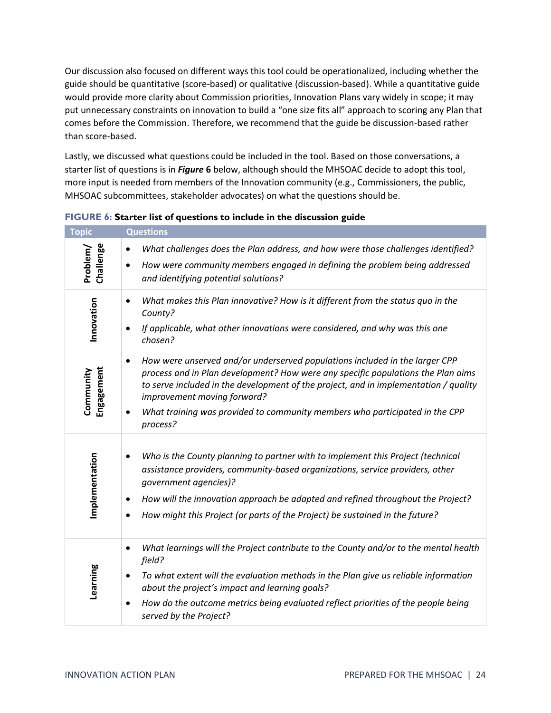Our discussion also focused on different ways this tool could be operationalized, including whether the guide should be quantitative (score-based) or qualitative (discussion-based). While a quantitative guide would provide more clarity about Commission priorities, Innovation Plans vary widely in scope; it may put unnecessary constraints on innovation to build a "one size fits all" approach to scoring any Plan that comes before the Commission. Therefore, we recommend that the guide be discussion-based rather than score-based.

Lastly, we discussed what questions could be included in the tool. Based on those conversations, a starter list of questions is in *Figure* **6** below, although should the MHSOAC decide to adopt this tool, more input is needed from members of the Innovation community (e.g., Commissioners, the public, MHSOAC subcommittees, stakeholder advocates) on what the questions should be.

| <b>Topic</b>            | <b>Questions</b>                                                                                                                                                                                                                                                                                                                                                                               |
|-------------------------|------------------------------------------------------------------------------------------------------------------------------------------------------------------------------------------------------------------------------------------------------------------------------------------------------------------------------------------------------------------------------------------------|
| Challenge<br>Problem/   | What challenges does the Plan address, and how were those challenges identified?<br>$\bullet$<br>How were community members engaged in defining the problem being addressed<br>$\bullet$<br>and identifying potential solutions?                                                                                                                                                               |
| Innovation              | What makes this Plan innovative? How is it different from the status quo in the<br>٠<br>County?<br>If applicable, what other innovations were considered, and why was this one<br>chosen?                                                                                                                                                                                                      |
| Engagement<br>Community | How were unserved and/or underserved populations included in the larger CPP<br>$\bullet$<br>process and in Plan development? How were any specific populations the Plan aims<br>to serve included in the development of the project, and in implementation / quality<br>improvement moving forward?<br>What training was provided to community members who participated in the CPP<br>process? |
| Implementation          | Who is the County planning to partner with to implement this Project (technical<br>$\bullet$<br>assistance providers, community-based organizations, service providers, other<br>qovernment agencies)?<br>How will the innovation approach be adapted and refined throughout the Project?<br>٠<br>How might this Project (or parts of the Project) be sustained in the future?<br>$\bullet$    |
| Learning                | What learnings will the Project contribute to the County and/or to the mental health<br>$\bullet$<br>field?<br>To what extent will the evaluation methods in the Plan give us reliable information<br>$\bullet$<br>about the project's impact and learning goals?<br>How do the outcome metrics being evaluated reflect priorities of the people being<br>$\bullet$<br>served by the Project?  |

#### **FIGURE 6: Starter list of questions to include in the discussion guide**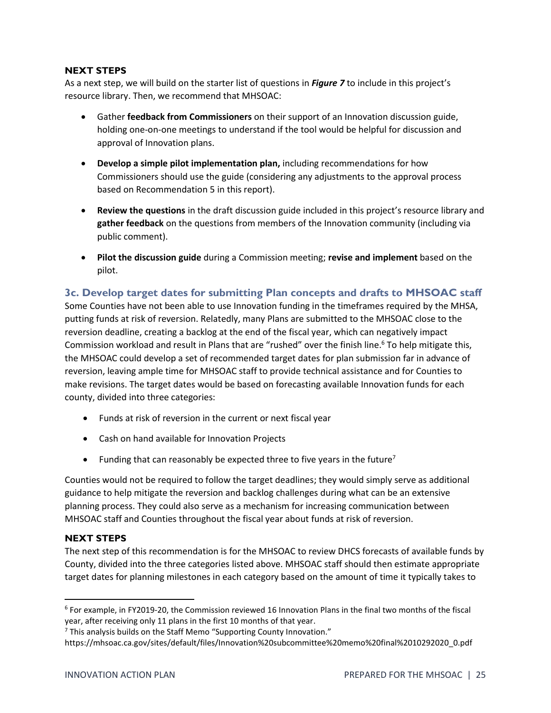#### **NEXT STEPS**

As a next step, we will build on the starter list of questions in *Figure 7* to include in this project's resource library. Then, we recommend that MHSOAC:

- Gather **feedback from Commissioners** on their support of an Innovation discussion guide, holding one-on-one meetings to understand if the tool would be helpful for discussion and approval of Innovation plans.
- **Develop a simple pilot implementation plan,** including recommendations for how Commissioners should use the guide (considering any adjustments to the approval process based on Recommendation 5 in this report).
- **Review the questions** in the draft discussion guide included in this project's resource library and **gather feedback** on the questions from members of the Innovation community (including via public comment).
- **Pilot the discussion guide** during a Commission meeting; **revise and implement** based on the pilot.

#### <span id="page-24-0"></span>**3c. Develop target dates for submitting Plan concepts and drafts to MHSOAC staff**

Some Counties have not been able to use Innovation funding in the timeframes required by the MHSA, putting funds at risk of reversion. Relatedly, many Plans are submitted to the MHSOAC close to the reversion deadline, creating a backlog at the end of the fiscal year, which can negatively impact Commission workload and result in Plans that are "rushed" over the finish line. <sup>6</sup> To help mitigate this, the MHSOAC could develop a set of recommended target dates for plan submission far in advance of reversion, leaving ample time for MHSOAC staff to provide technical assistance and for Counties to make revisions. The target dates would be based on forecasting available Innovation funds for each county, divided into three categories:

- Funds at risk of reversion in the current or next fiscal year
- Cash on hand available for Innovation Projects
- Funding that can reasonably be expected three to five years in the future<sup>7</sup>

Counties would not be required to follow the target deadlines; they would simply serve as additional guidance to help mitigate the reversion and backlog challenges during what can be an extensive planning process. They could also serve as a mechanism for increasing communication between MHSOAC staff and Counties throughout the fiscal year about funds at risk of reversion.

#### **NEXT STEPS**

The next step of this recommendation is for the MHSOAC to review DHCS forecasts of available funds by County, divided into the three categories listed above. MHSOAC staff should then estimate appropriate target dates for planning milestones in each category based on the amount of time it typically takes to

<sup>6</sup> For example, in FY2019-20, the Commission reviewed 16 Innovation Plans in the final two months of the fiscal year, after receiving only 11 plans in the first 10 months of that year.

 $7$  This analysis builds on the Staff Memo "Supporting County Innovation."

https://mhsoac.ca.gov/sites/default/files/Innovation%20subcommittee%20memo%20final%2010292020\_0.pdf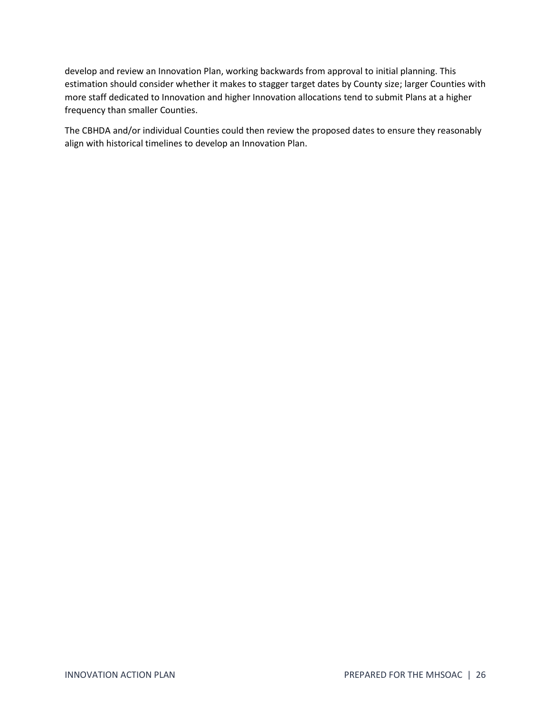develop and review an Innovation Plan, working backwards from approval to initial planning. This estimation should consider whether it makes to stagger target dates by County size; larger Counties with more staff dedicated to Innovation and higher Innovation allocations tend to submit Plans at a higher frequency than smaller Counties.

The CBHDA and/or individual Counties could then review the proposed dates to ensure they reasonably align with historical timelines to develop an Innovation Plan.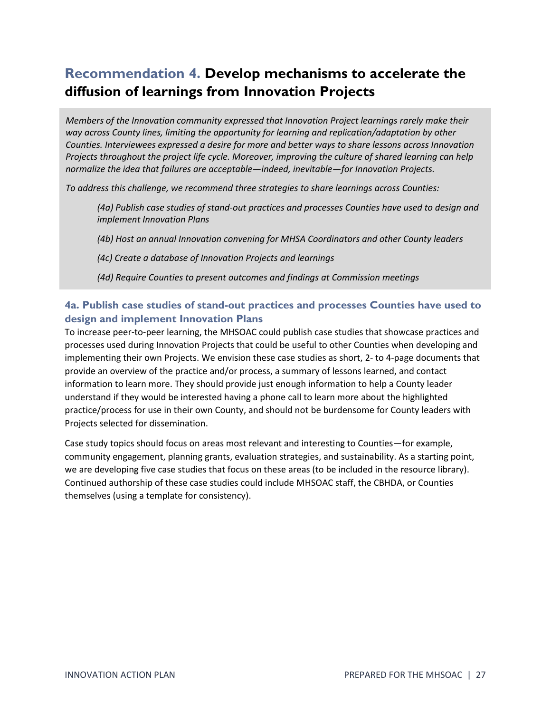# <span id="page-26-0"></span>**Recommendation 4. Develop mechanisms to accelerate the diffusion of learnings from Innovation Projects**

<span id="page-26-2"></span>*Members of the Innovation community expressed that Innovation Project learnings rarely make their way across County lines, limiting the opportunity for learning and replication/adaptation by other Counties. Interviewees expressed a desire for more and better ways to share lessons across Innovation Projects throughout the project life cycle. Moreover, improving the culture of shared learning can help normalize the idea that failures are acceptable—indeed, inevitable—for Innovation Projects.* 

*To address this challenge, we recommend three strategies to share learnings across Counties:*

*(4a) Publish case studies of stand-out practices and processes Counties have used to design and implement Innovation Plans*

*(4b) Host an annual Innovation convening for MHSA Coordinators and other County leaders*

*(4c) Create a database of Innovation Projects and learnings*

*(4d) Require Counties to present outcomes and findings at Commission meetings*

### <span id="page-26-1"></span>**4a. Publish case studies of stand-out practices and processes Counties have used to design and implement Innovation Plans**

To increase peer-to-peer learning, the MHSOAC could publish case studies that showcase practices and processes used during Innovation Projects that could be useful to other Counties when developing and implementing their own Projects. We envision these case studies as short, 2- to 4-page documents that provide an overview of the practice and/or process, a summary of lessons learned, and contact information to learn more. They should provide just enough information to help a County leader understand if they would be interested having a phone call to learn more about the highlighted practice/process for use in their own County, and should not be burdensome for County leaders with Projects selected for dissemination.

Case study topics should focus on areas most relevant and interesting to Counties—for example, community engagement, planning grants, evaluation strategies, and sustainability. As a starting point, we are developing five case studies that focus on these areas (to be included in the resource library). Continued authorship of these case studies could include MHSOAC staff, the CBHDA, or Counties themselves (using a template for consistency).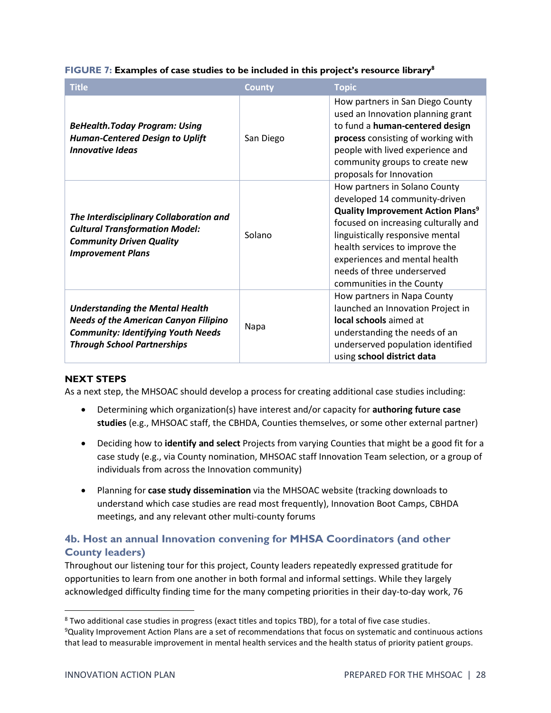| <b>Title</b>                                                                                                                                                              | <b>County</b> | <b>Topic</b>                                                                                                                                                                                                                                                                                                                    |
|---------------------------------------------------------------------------------------------------------------------------------------------------------------------------|---------------|---------------------------------------------------------------------------------------------------------------------------------------------------------------------------------------------------------------------------------------------------------------------------------------------------------------------------------|
| <b>BeHealth.Today Program: Using</b><br><b>Human-Centered Design to Uplift</b><br><b>Innovative Ideas</b>                                                                 | San Diego     | How partners in San Diego County<br>used an Innovation planning grant<br>to fund a human-centered design<br>process consisting of working with<br>people with lived experience and<br>community groups to create new<br>proposals for Innovation                                                                                |
| The Interdisciplinary Collaboration and<br><b>Cultural Transformation Model:</b><br><b>Community Driven Quality</b><br><b>Improvement Plans</b>                           | Solano        | How partners in Solano County<br>developed 14 community-driven<br><b>Quality Improvement Action Plans<sup>9</sup></b><br>focused on increasing culturally and<br>linguistically responsive mental<br>health services to improve the<br>experiences and mental health<br>needs of three underserved<br>communities in the County |
| <b>Understanding the Mental Health</b><br><b>Needs of the American Canyon Filipino</b><br><b>Community: Identifying Youth Needs</b><br><b>Through School Partnerships</b> | Napa          | How partners in Napa County<br>launched an Innovation Project in<br>local schools aimed at<br>understanding the needs of an<br>underserved population identified<br>using school district data                                                                                                                                  |

#### **FIGURE 7: Examples of case studies to be included in this project's resource library<sup>8</sup>**

#### **NEXT STEPS**

As a next step, the MHSOAC should develop a process for creating additional case studies including:

- Determining which organization(s) have interest and/or capacity for **authoring future case studies** (e.g., MHSOAC staff, the CBHDA, Counties themselves, or some other external partner)
- Deciding how to **identify and select** Projects from varying Counties that might be a good fit for a case study (e.g., via County nomination, MHSOAC staff Innovation Team selection, or a group of individuals from across the Innovation community)
- Planning for **case study dissemination** via the MHSOAC website (tracking downloads to understand which case studies are read most frequently), Innovation Boot Camps, CBHDA meetings, and any relevant other multi-county forums

### <span id="page-27-0"></span>**4b. Host an annual Innovation convening for MHSA Coordinators (and other County leaders)**

Throughout our listening tour for this project, County leaders repeatedly expressed gratitude for opportunities to learn from one another in both formal and informal settings. While they largely acknowledged difficulty finding time for the many competing priorities in their day-to-day work, 76

<sup>8</sup> Two additional case studies in progress (exact titles and topics TBD), for a total of five case studies. <sup>9</sup>Quality Improvement Action Plans are a set of recommendations that focus on systematic and continuous actions that lead to measurable improvement in mental health services and the health status of priority patient groups.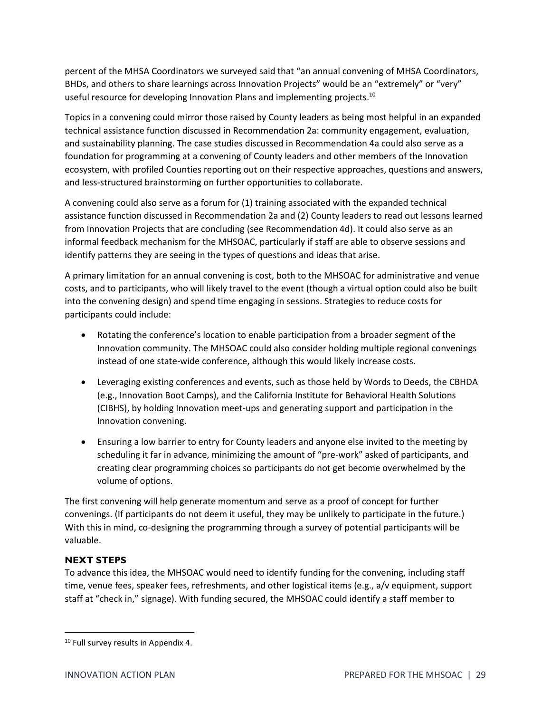percent of the MHSA Coordinators we surveyed said that "an annual convening of MHSA Coordinators, BHDs, and others to share learnings across Innovation Projects" would be an "extremely" or "very" useful resource for developing Innovation Plans and implementing projects.<sup>10</sup>

Topics in a convening could mirror those raised by County leaders as being most helpful in an expanded technical assistance function discussed in [Recommendation 2a](#page-15-0): community engagement, evaluation, and sustainability planning. The case studies discussed in [Recommendation](#page-26-2) 4a could also serve as a foundation for programming at a convening of County leaders and other members of the Innovation ecosystem, with profiled Counties reporting out on their respective approaches, questions and answers, and less-structured brainstorming on further opportunities to collaborate.

A convening could also serve as a forum for (1) training associated with the expanded technical assistance function discussed in [Recommendation 2a](#page-15-0) and (2) County leaders to read out lessons learned from Innovation Projects that are concluding (see Recommendation 4d). It could also serve as an informal feedback mechanism for the MHSOAC, particularly if staff are able to observe sessions and identify patterns they are seeing in the types of questions and ideas that arise.

A primary limitation for an annual convening is cost, both to the MHSOAC for administrative and venue costs, and to participants, who will likely travel to the event (though a virtual option could also be built into the convening design) and spend time engaging in sessions. Strategies to reduce costs for participants could include:

- Rotating the conference's location to enable participation from a broader segment of the Innovation community. The MHSOAC could also consider holding multiple regional convenings instead of one state-wide conference, although this would likely increase costs.
- Leveraging existing conferences and events, such as those held by Words to Deeds, the CBHDA (e.g., Innovation Boot Camps), and the California Institute for Behavioral Health Solutions (CIBHS), by holding Innovation meet-ups and generating support and participation in the Innovation convening.
- Ensuring a low barrier to entry for County leaders and anyone else invited to the meeting by scheduling it far in advance, minimizing the amount of "pre-work" asked of participants, and creating clear programming choices so participants do not get become overwhelmed by the volume of options.

The first convening will help generate momentum and serve as a proof of concept for further convenings. (If participants do not deem it useful, they may be unlikely to participate in the future.) With this in mind, co-designing the programming through a survey of potential participants will be valuable.

#### **NEXT STEPS**

To advance this idea, the MHSOAC would need to identify funding for the convening, including staff time, venue fees, speaker fees, refreshments, and other logistical items (e.g., a/v equipment, support staff at "check in," signage). With funding secured, the MHSOAC could identify a staff member to

<sup>&</sup>lt;sup>10</sup> Full survey results in Appendix 4.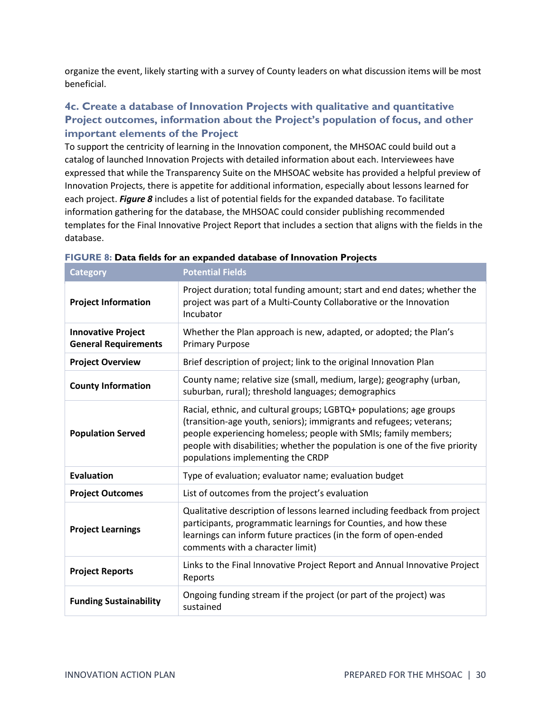organize the event, likely starting with a survey of County leaders on what discussion items will be most beneficial.

### <span id="page-29-0"></span>**4c. Create a database of Innovation Projects with qualitative and quantitative Project outcomes, information about the Project's population of focus, and other important elements of the Project**

To support the centricity of learning in the Innovation component, the MHSOAC could build out a catalog of launched Innovation Projects with detailed information about each. Interviewees have expressed that while the Transparency Suite on the MHSOAC website has provided a helpful preview of Innovation Projects, there is appetite for additional information, especially about lessons learned for each project. *Figure 8* includes a list of potential fields for the expanded database. To facilitate information gathering for the database, the MHSOAC could consider publishing recommended templates for the Final Innovative Project Report that includes a section that aligns with the fields in the database.

| <b>Category</b>                                          | <b>Potential Fields</b>                                                                                                                                                                                                                                                                                                            |
|----------------------------------------------------------|------------------------------------------------------------------------------------------------------------------------------------------------------------------------------------------------------------------------------------------------------------------------------------------------------------------------------------|
| <b>Project Information</b>                               | Project duration; total funding amount; start and end dates; whether the<br>project was part of a Multi-County Collaborative or the Innovation<br>Incubator                                                                                                                                                                        |
| <b>Innovative Project</b><br><b>General Requirements</b> | Whether the Plan approach is new, adapted, or adopted; the Plan's<br><b>Primary Purpose</b>                                                                                                                                                                                                                                        |
| <b>Project Overview</b>                                  | Brief description of project; link to the original Innovation Plan                                                                                                                                                                                                                                                                 |
| <b>County Information</b>                                | County name; relative size (small, medium, large); geography (urban,<br>suburban, rural); threshold languages; demographics                                                                                                                                                                                                        |
| <b>Population Served</b>                                 | Racial, ethnic, and cultural groups; LGBTQ+ populations; age groups<br>(transition-age youth, seniors); immigrants and refugees; veterans;<br>people experiencing homeless; people with SMIs; family members;<br>people with disabilities; whether the population is one of the five priority<br>populations implementing the CRDP |
| <b>Evaluation</b>                                        | Type of evaluation; evaluator name; evaluation budget                                                                                                                                                                                                                                                                              |
| <b>Project Outcomes</b>                                  | List of outcomes from the project's evaluation                                                                                                                                                                                                                                                                                     |
| <b>Project Learnings</b>                                 | Qualitative description of lessons learned including feedback from project<br>participants, programmatic learnings for Counties, and how these<br>learnings can inform future practices (in the form of open-ended<br>comments with a character limit)                                                                             |
| <b>Project Reports</b>                                   | Links to the Final Innovative Project Report and Annual Innovative Project<br>Reports                                                                                                                                                                                                                                              |
| <b>Funding Sustainability</b>                            | Ongoing funding stream if the project (or part of the project) was<br>sustained                                                                                                                                                                                                                                                    |

|  | FIGURE 8: Data fields for an expanded database of Innovation Projects |  |  |  |  |
|--|-----------------------------------------------------------------------|--|--|--|--|
|--|-----------------------------------------------------------------------|--|--|--|--|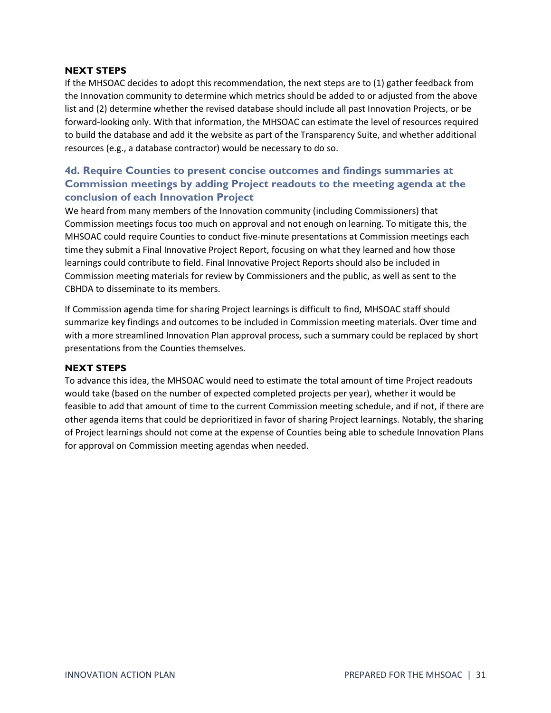#### **NEXT STEPS**

If the MHSOAC decides to adopt this recommendation, the next steps are to (1) gather feedback from the Innovation community to determine which metrics should be added to or adjusted from the above list and (2) determine whether the revised database should include all past Innovation Projects, or be forward-looking only. With that information, the MHSOAC can estimate the level of resources required to build the database and add it the website as part of the Transparency Suite, and whether additional resources (e.g., a database contractor) would be necessary to do so.

### <span id="page-30-0"></span>**4d. Require Counties to present concise outcomes and findings summaries at Commission meetings by adding Project readouts to the meeting agenda at the conclusion of each Innovation Project**

We heard from many members of the Innovation community (including Commissioners) that Commission meetings focus too much on approval and not enough on learning. To mitigate this, the MHSOAC could require Counties to conduct five-minute presentations at Commission meetings each time they submit a Final Innovative Project Report, focusing on what they learned and how those learnings could contribute to field. Final Innovative Project Reports should also be included in Commission meeting materials for review by Commissioners and the public, as well as sent to the CBHDA to disseminate to its members.

If Commission agenda time for sharing Project learnings is difficult to find, MHSOAC staff should summarize key findings and outcomes to be included in Commission meeting materials. Over time and with a more streamlined Innovation Plan approval process, such a summary could be replaced by short presentations from the Counties themselves.

#### **NEXT STEPS**

To advance this idea, the MHSOAC would need to estimate the total amount of time Project readouts would take (based on the number of expected completed projects per year), whether it would be feasible to add that amount of time to the current Commission meeting schedule, and if not, if there are other agenda items that could be deprioritized in favor of sharing Project learnings. Notably, the sharing of Project learnings should not come at the expense of Counties being able to schedule Innovation Plans for approval on Commission meeting agendas when needed.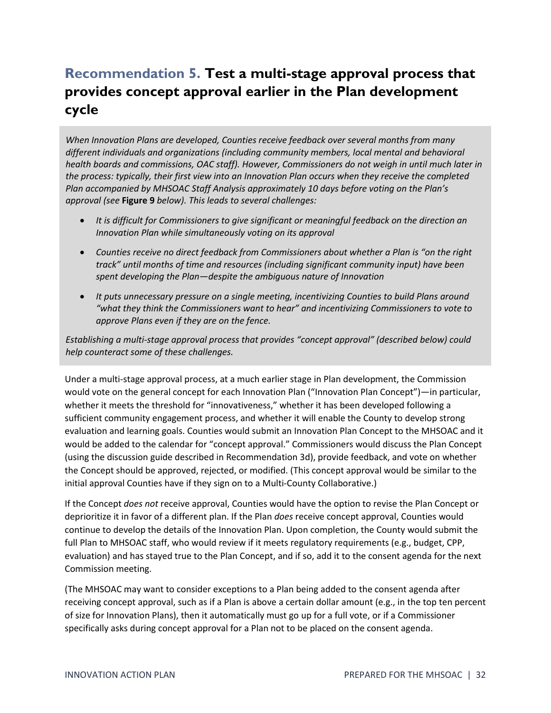# <span id="page-31-0"></span>**Recommendation 5. Test a multi-stage approval process that provides concept approval earlier in the Plan development cycle**

*When Innovation Plans are developed, Counties receive feedback over several months from many different individuals and organizations (including community members, local mental and behavioral health boards and commissions, OAC staff). However, Commissioners do not weigh in until much later in the process: typically, their first view into an Innovation Plan occurs when they receive the completed Plan accompanied by MHSOAC Staff Analysis approximately 10 days before voting on the Plan's approval (see* **Figure 9** *below). This leads to several challenges:*

- *It is difficult for Commissioners to give significant or meaningful feedback on the direction an Innovation Plan while simultaneously voting on its approval*
- *Counties receive no direct feedback from Commissioners about whether a Plan is "on the right track" until months of time and resources (including significant community input) have been spent developing the Plan—despite the ambiguous nature of Innovation*
- *It puts unnecessary pressure on a single meeting, incentivizing Counties to build Plans around "what they think the Commissioners want to hear" and incentivizing Commissioners to vote to approve Plans even if they are on the fence.*

*Establishing a multi-stage approval process that provides "concept approval" (described below) could help counteract some of these challenges.*

Under a multi-stage approval process, at a much earlier stage in Plan development, the Commission would vote on the general concept for each Innovation Plan ("Innovation Plan Concept")—in particular, whether it meets the threshold for "innovativeness," whether it has been developed following a sufficient community engagement process, and whether it will enable the County to develop strong evaluation and learning goals. Counties would submit an Innovation Plan Concept to the MHSOAC and it would be added to the calendar for "concept approval." Commissioners would discuss the Plan Concept (using the discussion guide described in Recommendation 3d), provide feedback, and vote on whether the Concept should be approved, rejected, or modified. (This concept approval would be similar to the initial approval Counties have if they sign on to a Multi-County Collaborative.)

If the Concept *does not* receive approval, Counties would have the option to revise the Plan Concept or deprioritize it in favor of a different plan. If the Plan *does* receive concept approval, Counties would continue to develop the details of the Innovation Plan. Upon completion, the County would submit the full Plan to MHSOAC staff, who would review if it meets regulatory requirements (e.g., budget, CPP, evaluation) and has stayed true to the Plan Concept, and if so, add it to the consent agenda for the next Commission meeting.

(The MHSOAC may want to consider exceptions to a Plan being added to the consent agenda after receiving concept approval, such as if a Plan is above a certain dollar amount (e.g., in the top ten percent of size for Innovation Plans), then it automatically must go up for a full vote, or if a Commissioner specifically asks during concept approval for a Plan not to be placed on the consent agenda.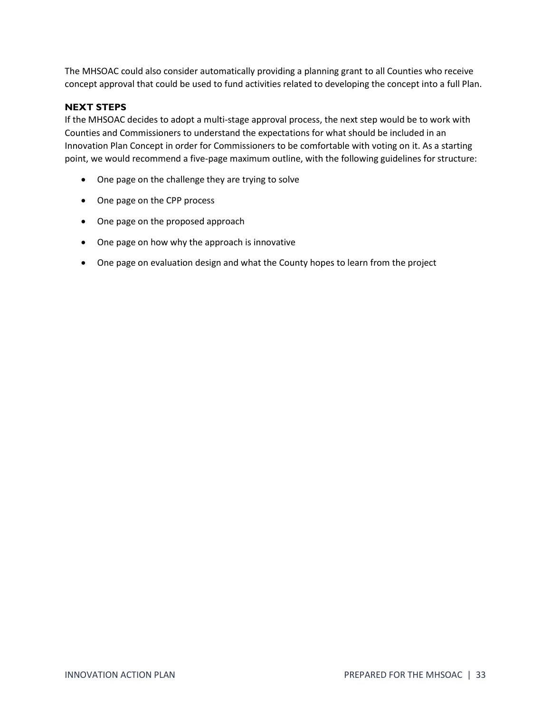The MHSOAC could also consider automatically providing a planning grant to all Counties who receive concept approval that could be used to fund activities related to developing the concept into a full Plan.

#### **NEXT STEPS**

If the MHSOAC decides to adopt a multi-stage approval process, the next step would be to work with Counties and Commissioners to understand the expectations for what should be included in an Innovation Plan Concept in order for Commissioners to be comfortable with voting on it. As a starting point, we would recommend a five-page maximum outline, with the following guidelines for structure:

- One page on the challenge they are trying to solve
- One page on the CPP process
- One page on the proposed approach
- One page on how why the approach is innovative
- One page on evaluation design and what the County hopes to learn from the project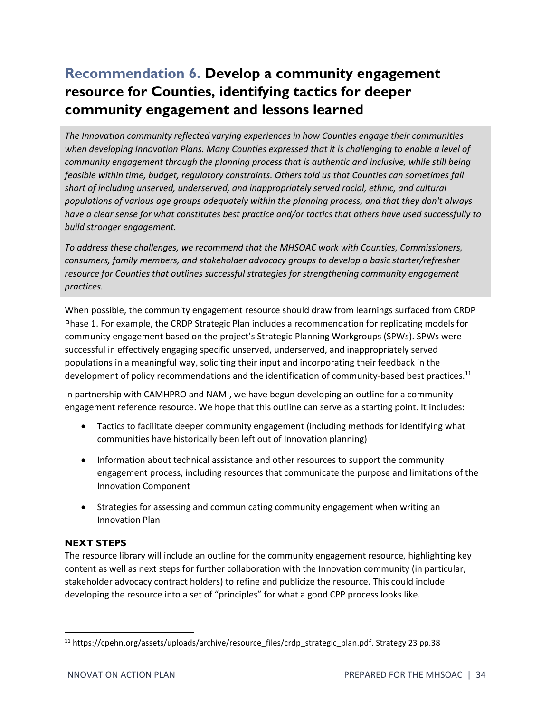# <span id="page-33-0"></span>**Recommendation 6. Develop a community engagement resource for Counties, identifying tactics for deeper community engagement and lessons learned**

*The Innovation community reflected varying experiences in how Counties engage their communities when developing Innovation Plans. Many Counties expressed that it is challenging to enable a level of community engagement through the planning process that is authentic and inclusive, while still being feasible within time, budget, regulatory constraints. Others told us that Counties can sometimes fall short of including unserved, underserved, and inappropriately served racial, ethnic, and cultural populations of various age groups adequately within the planning process, and that they don't always have a clear sense for what constitutes best practice and/or tactics that others have used successfully to build stronger engagement.*

*To address these challenges, we recommend that the MHSOAC work with Counties, Commissioners, consumers, family members, and stakeholder advocacy groups to develop a basic starter/refresher resource for Counties that outlines successful strategies for strengthening community engagement practices.* 

When possible, the community engagement resource should draw from learnings surfaced from CRDP Phase 1. For example, the CRDP Strategic Plan includes a recommendation for replicating models for community engagement based on the project's Strategic Planning Workgroups (SPWs). SPWs were successful in effectively engaging specific unserved, underserved, and inappropriately served populations in a meaningful way, soliciting their input and incorporating their feedback in the development of policy recommendations and the identification of community-based best practices.<sup>11</sup>

In partnership with CAMHPRO and NAMI, we have begun developing an outline for a community engagement reference resource. We hope that this outline can serve as a starting point. It includes:

- Tactics to facilitate deeper community engagement (including methods for identifying what communities have historically been left out of Innovation planning)
- Information about technical assistance and other resources to support the community engagement process, including resources that communicate the purpose and limitations of the Innovation Component
- Strategies for assessing and communicating community engagement when writing an Innovation Plan

### **NEXT STEPS**

The resource library will include an outline for the community engagement resource, highlighting key content as well as next steps for further collaboration with the Innovation community (in particular, stakeholder advocacy contract holders) to refine and publicize the resource. This could include developing the resource into a set of "principles" for what a good CPP process looks like.

<sup>&</sup>lt;sup>11</sup> [https://cpehn.org/assets/uploads/archive/resource\\_files/crdp\\_strategic\\_plan.pdf.](https://cpehn.org/assets/uploads/archive/resource_files/crdp_strategic_plan.pdf) Strategy 23 pp.38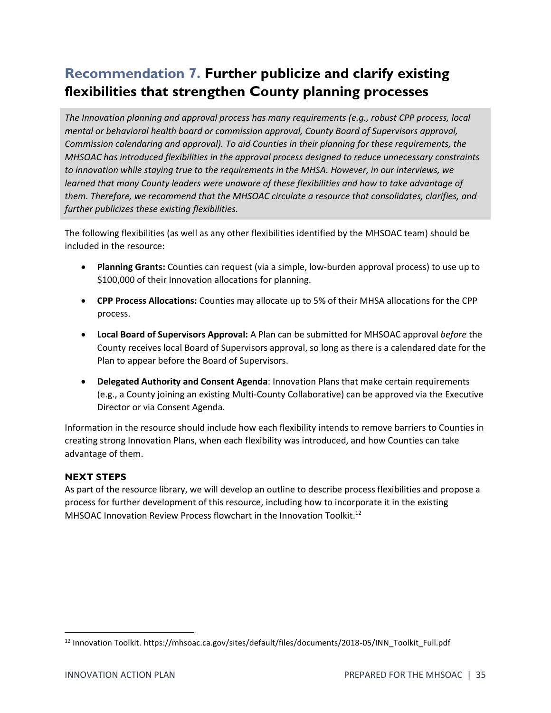# <span id="page-34-0"></span>**Recommendation 7. Further publicize and clarify existing flexibilities that strengthen County planning processes**

*The Innovation planning and approval process has many requirements (e.g., robust CPP process, local mental or behavioral health board or commission approval, County Board of Supervisors approval, Commission calendaring and approval). To aid Counties in their planning for these requirements, the MHSOAC has introduced flexibilities in the approval process designed to reduce unnecessary constraints to innovation while staying true to the requirements in the MHSA. However, in our interviews, we learned that many County leaders were unaware of these flexibilities and how to take advantage of them. Therefore, we recommend that the MHSOAC circulate a resource that consolidates, clarifies, and further publicizes these existing flexibilities.* 

The following flexibilities (as well as any other flexibilities identified by the MHSOAC team) should be included in the resource:

- **Planning Grants:** Counties can request (via a simple, low-burden approval process) to use up to \$100,000 of their Innovation allocations for planning.
- **CPP Process Allocations:** Counties may allocate up to 5% of their MHSA allocations for the CPP process.
- **Local Board of Supervisors Approval:** A Plan can be submitted for MHSOAC approval *before* the County receives local Board of Supervisors approval, so long as there is a calendared date for the Plan to appear before the Board of Supervisors.
- **Delegated Authority and Consent Agenda**: Innovation Plans that make certain requirements (e.g., a County joining an existing Multi-County Collaborative) can be approved via the Executive Director or via Consent Agenda.

Information in the resource should include how each flexibility intends to remove barriers to Counties in creating strong Innovation Plans, when each flexibility was introduced, and how Counties can take advantage of them.

#### **NEXT STEPS**

As part of the resource library, we will develop an outline to describe process flexibilities and propose a process for further development of this resource, including how to incorporate it in the existing MHSOAC Innovation Review Process flowchart in the Innovation Toolkit.<sup>12</sup>

<sup>12</sup> Innovation Toolkit. https://mhsoac.ca.gov/sites/default/files/documents/2018-05/INN\_Toolkit\_Full.pdf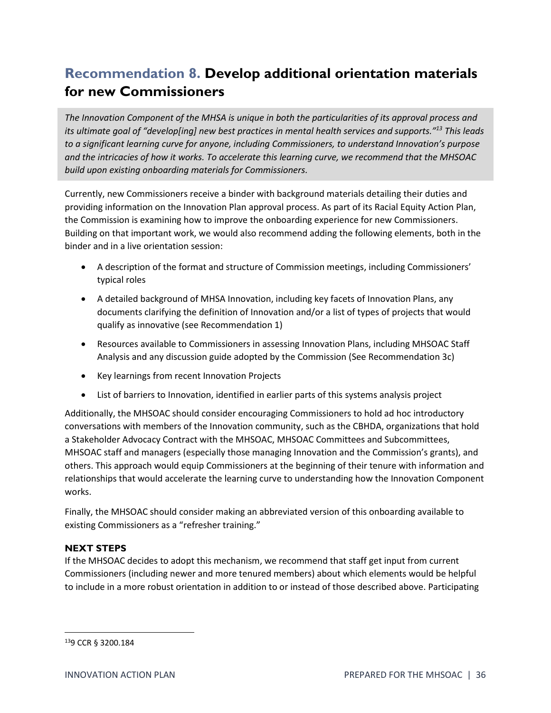# <span id="page-35-0"></span>**Recommendation 8. Develop additional orientation materials for new Commissioners**

*The Innovation Component of the MHSA is unique in both the particularities of its approval process and its ultimate goal of "develop[ing] new best practices in mental health services and supports."<sup>13</sup> This leads to a significant learning curve for anyone, including Commissioners, to understand Innovation's purpose and the intricacies of how it works. To accelerate this learning curve, we recommend that the MHSOAC build upon existing onboarding materials for Commissioners.*

Currently, new Commissioners receive a binder with background materials detailing their duties and providing information on the Innovation Plan approval process. As part of its Racial Equity Action Plan, the Commission is examining how to improve the onboarding experience for new Commissioners. Building on that important work, we would also recommend adding the following elements, both in the binder and in a live orientation session:

- A description of the format and structure of Commission meetings, including Commissioners' typical roles
- A detailed background of MHSA Innovation, including key facets of Innovation Plans, any documents clarifying the definition of Innovation and/or a list of types of projects that would qualify as innovative (see Recommendation 1)
- Resources available to Commissioners in assessing Innovation Plans, including MHSOAC Staff Analysis and any discussion guide adopted by the Commission (See Recommendation 3c)
- Key learnings from recent Innovation Projects
- List of barriers to Innovation, identified in earlier parts of this systems analysis project

Additionally, the MHSOAC should consider encouraging Commissioners to hold ad hoc introductory conversations with members of the Innovation community, such as the CBHDA, organizations that hold a Stakeholder Advocacy Contract with the MHSOAC, MHSOAC Committees and Subcommittees, MHSOAC staff and managers (especially those managing Innovation and the Commission's grants), and others. This approach would equip Commissioners at the beginning of their tenure with information and relationships that would accelerate the learning curve to understanding how the Innovation Component works.

Finally, the MHSOAC should consider making an abbreviated version of this onboarding available to existing Commissioners as a "refresher training."

#### **NEXT STEPS**

If the MHSOAC decides to adopt this mechanism, we recommend that staff get input from current Commissioners (including newer and more tenured members) about which elements would be helpful to include in a more robust orientation in addition to or instead of those described above. Participating

<sup>13</sup>9 CCR § 3200.184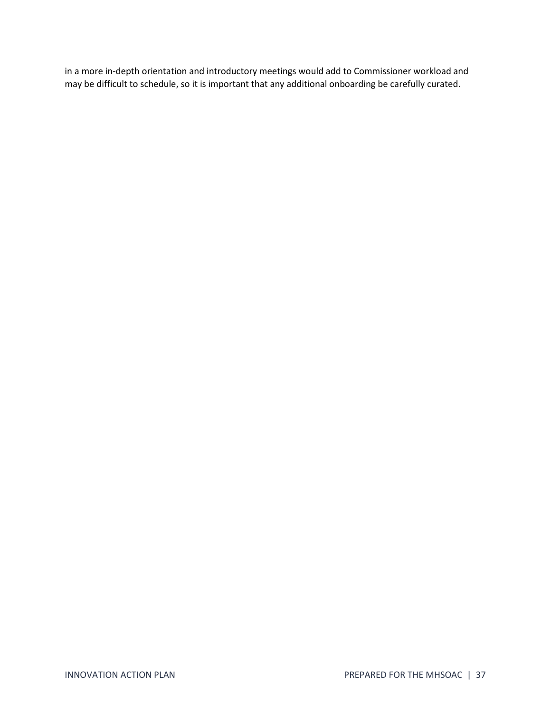in a more in-depth orientation and introductory meetings would add to Commissioner workload and may be difficult to schedule, so it is important that any additional onboarding be carefully curated.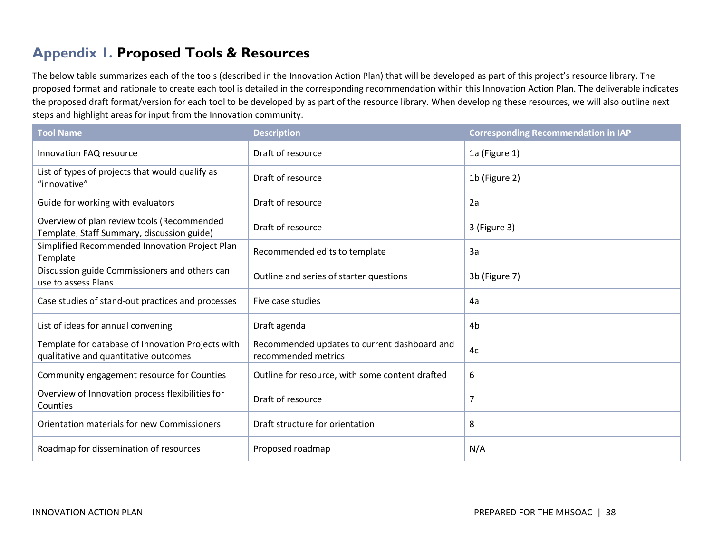# **Appendix 1. Proposed Tools & Resources**

The below table summarizes each of the tools (described in the Innovation Action Plan) that will be developed as part of this project's resource library. The proposed format and rationale to create each tool is detailed in the corresponding recommendation within this Innovation Action Plan. The deliverable indicates the proposed draft format/version for each tool to be developed by as part of the resource library. When developing these resources, we will also outline next steps and highlight areas for input from the Innovation community.

<span id="page-37-0"></span>

| <b>Tool Name</b>                                                                           | <b>Description</b>                                                  | <b>Corresponding Recommendation in IAP</b> |
|--------------------------------------------------------------------------------------------|---------------------------------------------------------------------|--------------------------------------------|
| Innovation FAQ resource                                                                    | Draft of resource                                                   | 1a (Figure 1)                              |
| List of types of projects that would qualify as<br>"innovative"                            | Draft of resource                                                   | 1b (Figure 2)                              |
| Guide for working with evaluators                                                          | Draft of resource                                                   | 2a                                         |
| Overview of plan review tools (Recommended<br>Template, Staff Summary, discussion guide)   | Draft of resource                                                   | 3 (Figure 3)                               |
| Simplified Recommended Innovation Project Plan<br>Template                                 | Recommended edits to template                                       | 3a                                         |
| Discussion guide Commissioners and others can<br>use to assess Plans                       | Outline and series of starter questions                             | 3b (Figure 7)                              |
| Case studies of stand-out practices and processes                                          | Five case studies                                                   | 4a                                         |
| List of ideas for annual convening                                                         | Draft agenda                                                        | 4 <sub>b</sub>                             |
| Template for database of Innovation Projects with<br>qualitative and quantitative outcomes | Recommended updates to current dashboard and<br>recommended metrics | 4c                                         |
| Community engagement resource for Counties                                                 | Outline for resource, with some content drafted                     | 6                                          |
| Overview of Innovation process flexibilities for<br>Counties                               | Draft of resource                                                   | $\overline{7}$                             |
| Orientation materials for new Commissioners                                                | Draft structure for orientation                                     | 8                                          |
| Roadmap for dissemination of resources                                                     | Proposed roadmap                                                    | N/A                                        |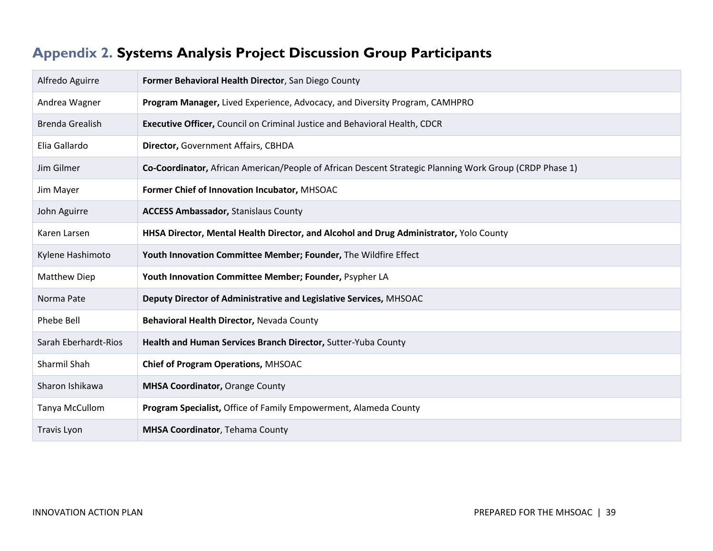# **Appendix 2. Systems Analysis Project Discussion Group Participants**

<span id="page-38-0"></span>

| Alfredo Aguirre        | Former Behavioral Health Director, San Diego County                                                     |
|------------------------|---------------------------------------------------------------------------------------------------------|
| Andrea Wagner          | Program Manager, Lived Experience, Advocacy, and Diversity Program, CAMHPRO                             |
| <b>Brenda Grealish</b> | Executive Officer, Council on Criminal Justice and Behavioral Health, CDCR                              |
| Elia Gallardo          | Director, Government Affairs, CBHDA                                                                     |
| Jim Gilmer             | Co-Coordinator, African American/People of African Descent Strategic Planning Work Group (CRDP Phase 1) |
| Jim Mayer              | Former Chief of Innovation Incubator, MHSOAC                                                            |
| John Aguirre           | <b>ACCESS Ambassador, Stanislaus County</b>                                                             |
| Karen Larsen           | HHSA Director, Mental Health Director, and Alcohol and Drug Administrator, Yolo County                  |
| Kylene Hashimoto       | Youth Innovation Committee Member; Founder, The Wildfire Effect                                         |
| <b>Matthew Diep</b>    | Youth Innovation Committee Member; Founder, Psypher LA                                                  |
| Norma Pate             | Deputy Director of Administrative and Legislative Services, MHSOAC                                      |
| Phebe Bell             | Behavioral Health Director, Nevada County                                                               |
| Sarah Eberhardt-Rios   | Health and Human Services Branch Director, Sutter-Yuba County                                           |
| Sharmil Shah           | Chief of Program Operations, MHSOAC                                                                     |
| Sharon Ishikawa        | <b>MHSA Coordinator, Orange County</b>                                                                  |
| Tanya McCullom         | Program Specialist, Office of Family Empowerment, Alameda County                                        |
| Travis Lyon            | <b>MHSA Coordinator, Tehama County</b>                                                                  |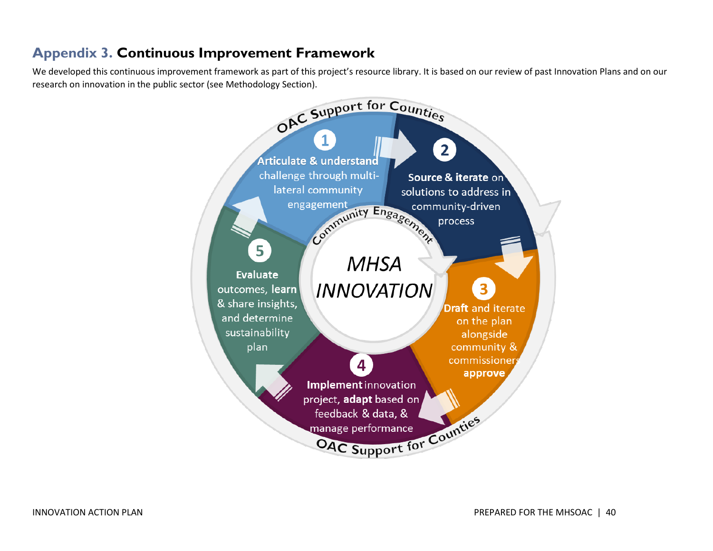## **Appendix 3. Continuous Improvement Framework**

<span id="page-39-0"></span>We developed this continuous improvement framework as part of this project's resource library. It is based on our review of past Innovation Plans and on our research on innovation in the public sector (see Methodology Section).

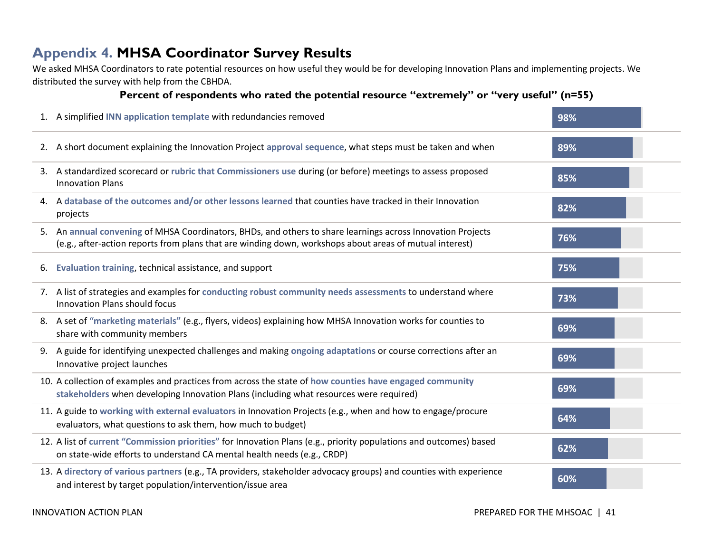### **Appendix 4. MHSA Coordinator Survey Results**

We asked MHSA Coordinators to rate potential resources on how useful they would be for developing Innovation Plans and implementing projects. We distributed the survey with help from the CBHDA.

### **Percent of respondents who rated the potential resource "extremely" or "very useful" (n=55)**

<span id="page-40-0"></span>

| 1. A simplified INN application template with redundancies removed                                                                                                                                                     | 98% |  |
|------------------------------------------------------------------------------------------------------------------------------------------------------------------------------------------------------------------------|-----|--|
| 2. A short document explaining the Innovation Project approval sequence, what steps must be taken and when                                                                                                             | 89% |  |
| 3. A standardized scorecard or rubric that Commissioners use during (or before) meetings to assess proposed<br><b>Innovation Plans</b>                                                                                 | 85% |  |
| 4. A database of the outcomes and/or other lessons learned that counties have tracked in their Innovation<br>projects                                                                                                  | 82% |  |
| 5. An annual convening of MHSA Coordinators, BHDs, and others to share learnings across Innovation Projects<br>(e.g., after-action reports from plans that are winding down, workshops about areas of mutual interest) | 76% |  |
| 6. Evaluation training, technical assistance, and support                                                                                                                                                              | 75% |  |
| 7. A list of strategies and examples for conducting robust community needs assessments to understand where<br>Innovation Plans should focus                                                                            | 73% |  |
| 8. A set of "marketing materials" (e.g., flyers, videos) explaining how MHSA Innovation works for counties to<br>share with community members                                                                          | 69% |  |
| 9. A guide for identifying unexpected challenges and making ongoing adaptations or course corrections after an<br>Innovative project launches                                                                          | 69% |  |
| 10. A collection of examples and practices from across the state of how counties have engaged community<br>stakeholders when developing Innovation Plans (including what resources were required)                      | 69% |  |
| 11. A guide to working with external evaluators in Innovation Projects (e.g., when and how to engage/procure<br>evaluators, what questions to ask them, how much to budget)                                            | 64% |  |
| 12. A list of current "Commission priorities" for Innovation Plans (e.g., priority populations and outcomes) based<br>on state-wide efforts to understand CA mental health needs (e.g., CRDP)                          | 62% |  |
| 13. A directory of various partners (e.g., TA providers, stakeholder advocacy groups) and counties with experience<br>and interest by target population/intervention/issue area                                        | 60% |  |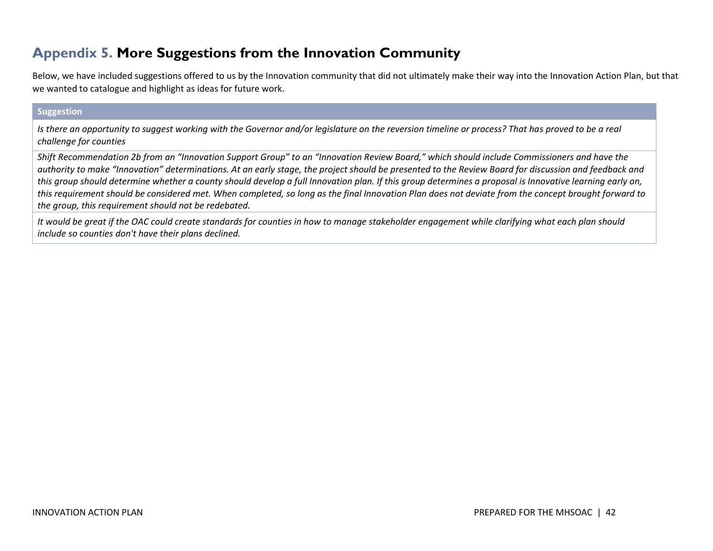## **Appendix 5. More Suggestions from the Innovation Community**

Below, we have included suggestions offered to us by the Innovation community that did not ultimately make their way into the Innovation Action Plan, but that we wanted to catalogue and highlight as ideas for future work.

#### **Suggestion**

*Is there an opportunity to suggest working with the Governor and/or legislature on the reversion timeline or process? That has proved to be a real challenge for counties*

*Shift Recommendation 2b from an "Innovation Support Group" to an "Innovation Review Board," which should include Commissioners and have the authority to make "Innovation" determinations. At an early stage, the project should be presented to the Review Board for discussion and feedback and this group should determine whether a county should develop a full Innovation plan. If this group determines a proposal is Innovative learning early on, this requirement should be considered met. When completed, so long as the final Innovation Plan does not deviate from the concept brought forward to the group, this requirement should not be redebated.* 

<span id="page-41-0"></span>*It would be great if the OAC could create standards for counties in how to manage stakeholder engagement while clarifying what each plan should include so counties don't have their plans declined.*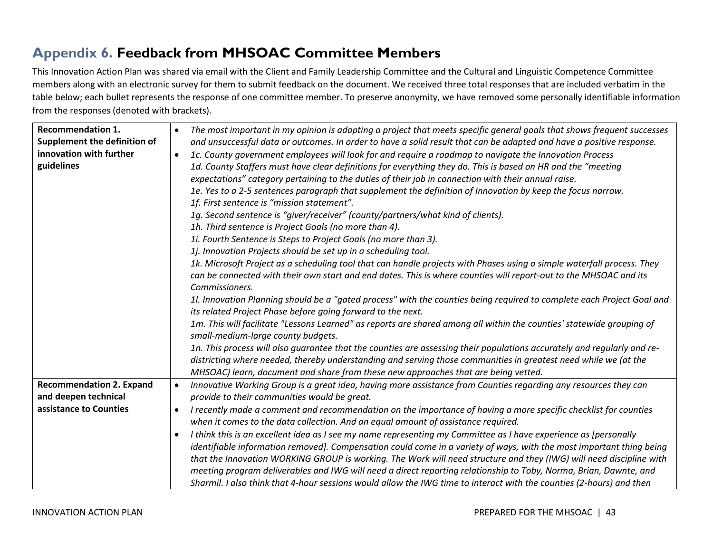# **Appendix 6. Feedback from MHSOAC Committee Members**

This Innovation Action Plan was shared via email with the Client and Family Leadership Committee and the Cultural and Linguistic Competence Committee members along with an electronic survey for them to submit feedback on the document. We received three total responses that are included verbatim in the table below; each bullet represents the response of one committee member. To preserve anonymity, we have removed some personally identifiable information from the responses (denoted with brackets).

<span id="page-42-0"></span>

| <b>Recommendation 1.</b>        | The most important in my opinion is adapting a project that meets specific general goals that shows frequent successes<br>$\bullet$ |
|---------------------------------|-------------------------------------------------------------------------------------------------------------------------------------|
| Supplement the definition of    | and unsuccessful data or outcomes. In order to have a solid result that can be adapted and have a positive response.                |
| innovation with further         | 1c. County government employees will look for and require a roadmap to navigate the Innovation Process<br>$\bullet$                 |
| guidelines                      | 1d. County Staffers must have clear definitions for everything they do. This is based on HR and the "meeting                        |
|                                 | expectations" category pertaining to the duties of their job in connection with their annual raise.                                 |
|                                 | 1e. Yes to a 2-5 sentences paragraph that supplement the definition of Innovation by keep the focus narrow.                         |
|                                 | 1f. First sentence is "mission statement".                                                                                          |
|                                 | 1g. Second sentence is "giver/receiver" (county/partners/what kind of clients).                                                     |
|                                 | 1h. Third sentence is Project Goals (no more than 4).                                                                               |
|                                 | 1i. Fourth Sentence is Steps to Project Goals (no more than 3).                                                                     |
|                                 | 1 <i>j.</i> Innovation Projects should be set up in a scheduling tool.                                                              |
|                                 | 1k. Microsoft Project as a scheduling tool that can handle projects with Phases using a simple waterfall process. They              |
|                                 | can be connected with their own start and end dates. This is where counties will report-out to the MHSOAC and its                   |
|                                 | Commissioners.                                                                                                                      |
|                                 | 1l. Innovation Planning should be a "gated process" with the counties being required to complete each Project Goal and              |
|                                 | its related Project Phase before going forward to the next.                                                                         |
|                                 | 1m. This will facilitate "Lessons Learned" as reports are shared among all within the counties' statewide grouping of               |
|                                 | small-medium-large county budgets.                                                                                                  |
|                                 | 1n. This process will also guarantee that the counties are assessing their populations accurately and regularly and re-             |
|                                 | districting where needed, thereby understanding and serving those communities in greatest need while we (at the                     |
|                                 | MHSOAC) learn, document and share from these new approaches that are being vetted.                                                  |
| <b>Recommendation 2. Expand</b> | Innovative Working Group is a great idea, having more assistance from Counties regarding any resources they can<br>$\bullet$        |
| and deepen technical            | provide to their communities would be great.                                                                                        |
| assistance to Counties          | I recently made a comment and recommendation on the importance of having a more specific checklist for counties<br>$\bullet$        |
|                                 | when it comes to the data collection. And an equal amount of assistance required.                                                   |
|                                 | I think this is an excellent idea as I see my name representing my Committee as I have experience as [personally<br>$\bullet$       |
|                                 | identifiable information removed]. Compensation could come in a variety of ways, with the most important thing being                |
|                                 | that the Innovation WORKING GROUP is working. The Work will need structure and they (IWG) will need discipline with                 |
|                                 | meeting program deliverables and IWG will need a direct reporting relationship to Toby, Norma, Brian, Dawnte, and                   |
|                                 | Sharmil. I also think that 4-hour sessions would allow the IWG time to interact with the counties (2-hours) and then                |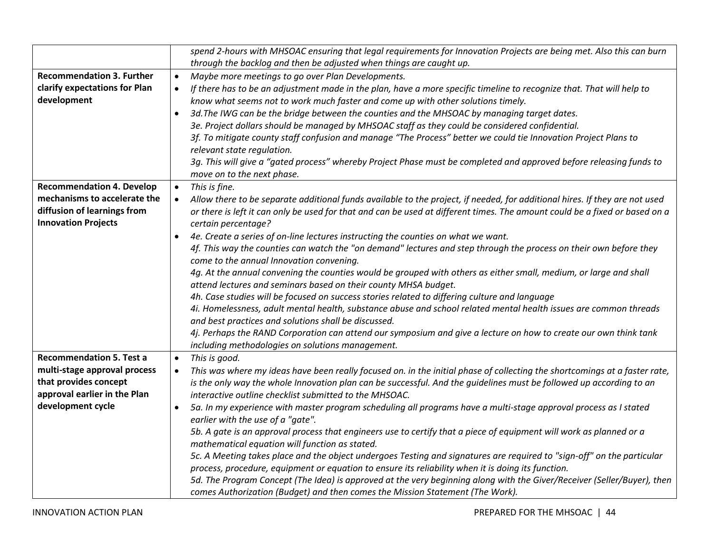|                                  | spend 2-hours with MHSOAC ensuring that legal requirements for Innovation Projects are being met. Also this can burn                     |
|----------------------------------|------------------------------------------------------------------------------------------------------------------------------------------|
|                                  | through the backlog and then be adjusted when things are caught up.                                                                      |
| <b>Recommendation 3. Further</b> | Maybe more meetings to go over Plan Developments.<br>$\bullet$                                                                           |
| clarify expectations for Plan    | If there has to be an adjustment made in the plan, have a more specific timeline to recognize that. That will help to<br>$\bullet$       |
| development                      | know what seems not to work much faster and come up with other solutions timely.                                                         |
|                                  | 3d. The IWG can be the bridge between the counties and the MHSOAC by managing target dates.<br>$\bullet$                                 |
|                                  | 3e. Project dollars should be managed by MHSOAC staff as they could be considered confidential.                                          |
|                                  | 3f. To mitigate county staff confusion and manage "The Process" better we could tie Innovation Project Plans to                          |
|                                  | relevant state regulation.                                                                                                               |
|                                  | 3g. This will give a "gated process" whereby Project Phase must be completed and approved before releasing funds to                      |
|                                  | move on to the next phase.                                                                                                               |
| <b>Recommendation 4. Develop</b> | This is fine.<br>$\bullet$                                                                                                               |
| mechanisms to accelerate the     | Allow there to be separate additional funds available to the project, if needed, for additional hires. If they are not used<br>$\bullet$ |
| diffusion of learnings from      | or there is left it can only be used for that and can be used at different times. The amount could be a fixed or based on a              |
| <b>Innovation Projects</b>       | certain percentage?                                                                                                                      |
|                                  | 4e. Create a series of on-line lectures instructing the counties on what we want.<br>$\bullet$                                           |
|                                  | 4f. This way the counties can watch the "on demand" lectures and step through the process on their own before they                       |
|                                  | come to the annual Innovation convening.                                                                                                 |
|                                  | 4g. At the annual convening the counties would be grouped with others as either small, medium, or large and shall                        |
|                                  | attend lectures and seminars based on their county MHSA budget.                                                                          |
|                                  | 4h. Case studies will be focused on success stories related to differing culture and language                                            |
|                                  | 4i. Homelessness, adult mental health, substance abuse and school related mental health issues are common threads                        |
|                                  | and best practices and solutions shall be discussed.                                                                                     |
|                                  | 4j. Perhaps the RAND Corporation can attend our symposium and give a lecture on how to create our own think tank                         |
|                                  | including methodologies on solutions management.                                                                                         |
| <b>Recommendation 5. Test a</b>  | This is good.<br>$\bullet$                                                                                                               |
| multi-stage approval process     | This was where my ideas have been really focused on. in the initial phase of collecting the shortcomings at a faster rate,<br>$\bullet$  |
| that provides concept            | is the only way the whole Innovation plan can be successful. And the guidelines must be followed up according to an                      |
| approval earlier in the Plan     | interactive outline checklist submitted to the MHSOAC.                                                                                   |
| development cycle                | 5a. In my experience with master program scheduling all programs have a multi-stage approval process as I stated<br>$\bullet$            |
|                                  | earlier with the use of a "gate".                                                                                                        |
|                                  | 5b. A gate is an approval process that engineers use to certify that a piece of equipment will work as planned or a                      |
|                                  | mathematical equation will function as stated.                                                                                           |
|                                  | 5c. A Meeting takes place and the object undergoes Testing and signatures are required to "sign-off" on the particular                   |
|                                  | process, procedure, equipment or equation to ensure its reliability when it is doing its function.                                       |
|                                  | 5d. The Program Concept (The Idea) is approved at the very beginning along with the Giver/Receiver (Seller/Buyer), then                  |
|                                  | comes Authorization (Budget) and then comes the Mission Statement (The Work).                                                            |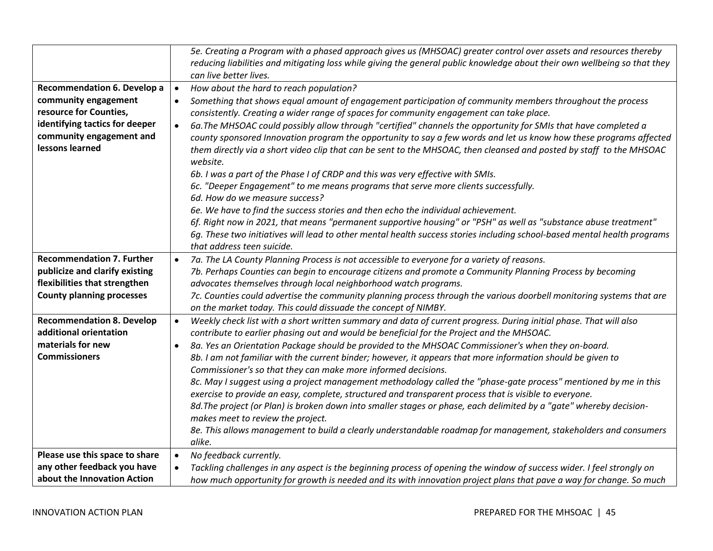|                                    | 5e. Creating a Program with a phased approach gives us (MHSOAC) greater control over assets and resources thereby<br>reducing liabilities and mitigating loss while giving the general public knowledge about their own wellbeing so that they<br>can live better lives. |
|------------------------------------|--------------------------------------------------------------------------------------------------------------------------------------------------------------------------------------------------------------------------------------------------------------------------|
| <b>Recommendation 6. Develop a</b> |                                                                                                                                                                                                                                                                          |
| community engagement               | How about the hard to reach population?<br>Something that shows equal amount of engagement participation of community members throughout the process<br>$\bullet$                                                                                                        |
| resource for Counties,             | consistently. Creating a wider range of spaces for community engagement can take place.                                                                                                                                                                                  |
| identifying tactics for deeper     | 6a. The MHSOAC could possibly allow through "certified" channels the opportunity for SMIs that have completed a<br>$\bullet$                                                                                                                                             |
| community engagement and           | county sponsored Innovation program the opportunity to say a few words and let us know how these programs affected                                                                                                                                                       |
| lessons learned                    | them directly via a short video clip that can be sent to the MHSOAC, then cleansed and posted by staff to the MHSOAC<br>website.                                                                                                                                         |
|                                    | 6b. I was a part of the Phase I of CRDP and this was very effective with SMIs.                                                                                                                                                                                           |
|                                    | 6c. "Deeper Engagement" to me means programs that serve more clients successfully.                                                                                                                                                                                       |
|                                    | 6d. How do we measure success?                                                                                                                                                                                                                                           |
|                                    | 6e. We have to find the success stories and then echo the individual achievement.                                                                                                                                                                                        |
|                                    | 6f. Right now in 2021, that means "permanent supportive housing" or "PSH" as well as "substance abuse treatment"                                                                                                                                                         |
|                                    | 6q. These two initiatives will lead to other mental health success stories including school-based mental health programs                                                                                                                                                 |
|                                    | that address teen suicide.                                                                                                                                                                                                                                               |
| <b>Recommendation 7. Further</b>   | 7a. The LA County Planning Process is not accessible to everyone for a variety of reasons.<br>$\bullet$                                                                                                                                                                  |
| publicize and clarify existing     | 7b. Perhaps Counties can begin to encourage citizens and promote a Community Planning Process by becoming                                                                                                                                                                |
| flexibilities that strengthen      | advocates themselves through local neighborhood watch programs.                                                                                                                                                                                                          |
| <b>County planning processes</b>   | 7c. Counties could advertise the community planning process through the various doorbell monitoring systems that are                                                                                                                                                     |
|                                    | on the market today. This could dissuade the concept of NIMBY.                                                                                                                                                                                                           |
| <b>Recommendation 8. Develop</b>   | Weekly check list with a short written summary and data of current progress. During initial phase. That will also<br>$\bullet$                                                                                                                                           |
| additional orientation             | contribute to earlier phasing out and would be beneficial for the Project and the MHSOAC.                                                                                                                                                                                |
| materials for new                  | 8a. Yes an Orientation Package should be provided to the MHSOAC Commissioner's when they on-board.<br>$\bullet$                                                                                                                                                          |
| <b>Commissioners</b>               | 8b. I am not familiar with the current binder; however, it appears that more information should be given to                                                                                                                                                              |
|                                    | Commissioner's so that they can make more informed decisions.                                                                                                                                                                                                            |
|                                    | 8c. May I suggest using a project management methodology called the "phase-gate process" mentioned by me in this<br>exercise to provide an easy, complete, structured and transparent process that is visible to everyone.                                               |
|                                    | 8d. The project (or Plan) is broken down into smaller stages or phase, each delimited by a "gate" whereby decision-                                                                                                                                                      |
|                                    | makes meet to review the project.                                                                                                                                                                                                                                        |
|                                    | 8e. This allows management to build a clearly understandable roadmap for management, stakeholders and consumers                                                                                                                                                          |
|                                    | alike.                                                                                                                                                                                                                                                                   |
| Please use this space to share     | No feedback currently.<br>$\bullet$                                                                                                                                                                                                                                      |
| any other feedback you have        | Tackling challenges in any aspect is the beginning process of opening the window of success wider. I feel strongly on                                                                                                                                                    |
| about the Innovation Action        | how much opportunity for growth is needed and its with innovation project plans that pave a way for change. So much                                                                                                                                                      |